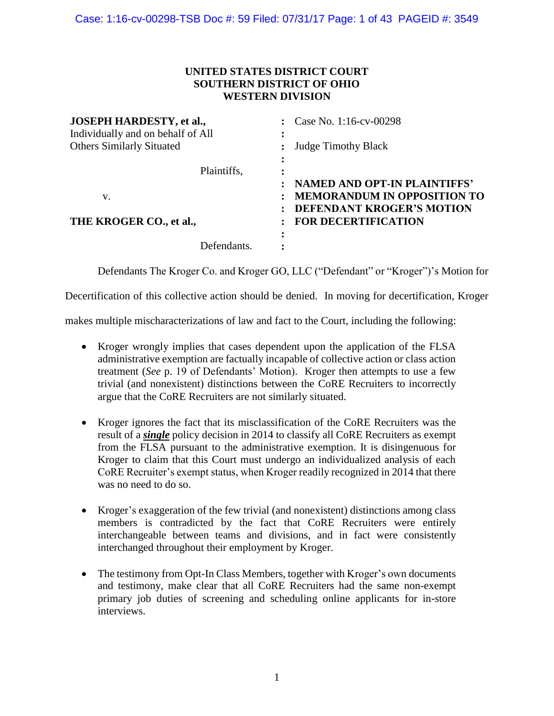# **UNITED STATES DISTRICT COURT SOUTHERN DISTRICT OF OHIO WESTERN DIVISION**

| <b>JOSEPH HARDESTY, et al.,</b><br>Individually and on behalf of All |  | Case No. 1:16-cv-00298              |
|----------------------------------------------------------------------|--|-------------------------------------|
| <b>Others Similarly Situated</b>                                     |  |                                     |
|                                                                      |  | <b>Judge Timothy Black</b>          |
|                                                                      |  |                                     |
| Plaintiffs,                                                          |  |                                     |
|                                                                      |  | <b>NAMED AND OPT-IN PLAINTIFFS'</b> |
|                                                                      |  | <b>MEMORANDUM IN OPPOSITION TO</b>  |
|                                                                      |  | <b>DEFENDANT KROGER'S MOTION</b>    |
| THE KROGER CO., et al.,                                              |  | <b>FOR DECERTIFICATION</b>          |
| Defendants.                                                          |  |                                     |
|                                                                      |  | ٠                                   |

Defendants The Kroger Co. and Kroger GO, LLC ("Defendant" or "Kroger")'s Motion for

Decertification of this collective action should be denied. In moving for decertification, Kroger

makes multiple mischaracterizations of law and fact to the Court, including the following:

- Kroger wrongly implies that cases dependent upon the application of the FLSA administrative exemption are factually incapable of collective action or class action treatment (*See* p. 19 of Defendants' Motion). Kroger then attempts to use a few trivial (and nonexistent) distinctions between the CoRE Recruiters to incorrectly argue that the CoRE Recruiters are not similarly situated.
- Kroger ignores the fact that its misclassification of the CoRE Recruiters was the result of a *single* policy decision in 2014 to classify all CoRE Recruiters as exempt from the FLSA pursuant to the administrative exemption. It is disingenuous for Kroger to claim that this Court must undergo an individualized analysis of each CoRE Recruiter's exempt status, when Kroger readily recognized in 2014 that there was no need to do so.
- Kroger's exaggeration of the few trivial (and nonexistent) distinctions among class members is contradicted by the fact that CoRE Recruiters were entirely interchangeable between teams and divisions, and in fact were consistently interchanged throughout their employment by Kroger.
- The testimony from Opt-In Class Members, together with Kroger's own documents and testimony, make clear that all CoRE Recruiters had the same non-exempt primary job duties of screening and scheduling online applicants for in-store interviews.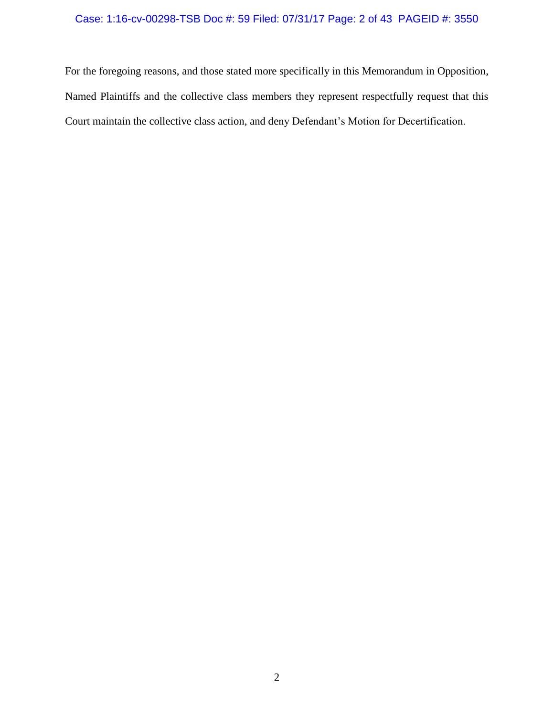# Case: 1:16-cv-00298-TSB Doc #: 59 Filed: 07/31/17 Page: 2 of 43 PAGEID #: 3550

For the foregoing reasons, and those stated more specifically in this Memorandum in Opposition, Named Plaintiffs and the collective class members they represent respectfully request that this Court maintain the collective class action, and deny Defendant's Motion for Decertification.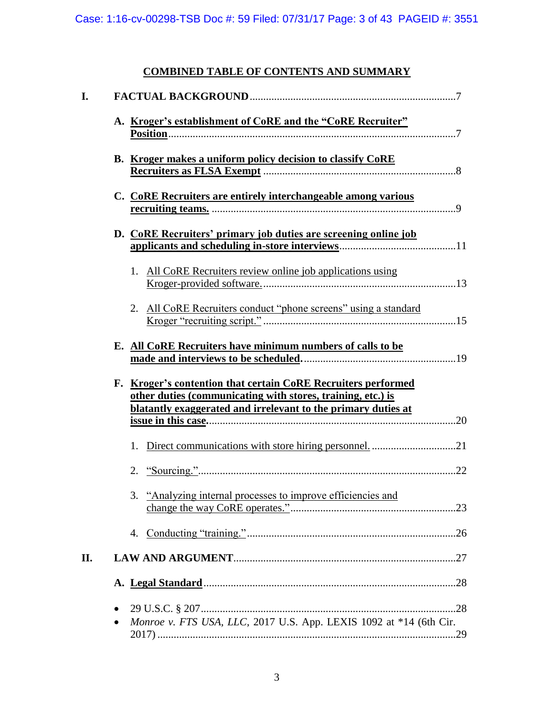# **COMBINED TABLE OF CONTENTS AND SUMMARY**

| B. Kroger makes a uniform policy decision to classify CoRE                                                                   |  |
|------------------------------------------------------------------------------------------------------------------------------|--|
| C. CoRE Recruiters are entirely interchangeable among various                                                                |  |
|                                                                                                                              |  |
| D. CoRE Recruiters' primary job duties are screening online job                                                              |  |
|                                                                                                                              |  |
| 1. All CoRE Recruiters review online job applications using                                                                  |  |
| 2. All CoRE Recruiters conduct "phone screens" using a standard                                                              |  |
|                                                                                                                              |  |
| E. All CoRE Recruiters have minimum numbers of calls to be                                                                   |  |
| F. Kroger's contention that certain CoRE Recruiters performed<br>other duties (communicating with stores, training, etc.) is |  |
| blatantly exaggerated and irrelevant to the primary duties at                                                                |  |
|                                                                                                                              |  |
| 1.                                                                                                                           |  |
|                                                                                                                              |  |
| "Analyzing internal processes to improve efficiencies and<br>3.                                                              |  |
|                                                                                                                              |  |
|                                                                                                                              |  |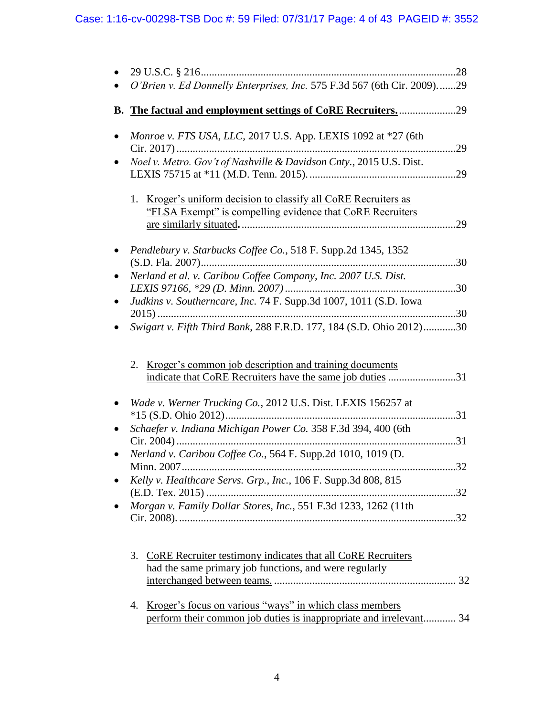|           | O'Brien v. Ed Donnelly Enterprises, Inc. 575 F.3d 567 (6th Cir. 2009)29                                                                                                                |     |
|-----------|----------------------------------------------------------------------------------------------------------------------------------------------------------------------------------------|-----|
|           |                                                                                                                                                                                        |     |
| $\bullet$ | Monroe v. FTS USA, LLC, 2017 U.S. App. LEXIS 1092 at *27 (6th                                                                                                                          | .29 |
|           | Noel v. Metro. Gov't of Nashville & Davidson Cnty., 2015 U.S. Dist.                                                                                                                    |     |
|           | Kroger's uniform decision to classify all CoRE Recruiters as<br>1.<br>"FLSA Exempt" is compelling evidence that CoRE Recruiters                                                        | .29 |
|           | Pendlebury v. Starbucks Coffee Co., 518 F. Supp.2d 1345, 1352<br>(S.D. Fla. 2007)                                                                                                      |     |
|           | Nerland et al. v. Caribou Coffee Company, Inc. 2007 U.S. Dist.                                                                                                                         |     |
|           | Judkins v. Southerncare, Inc. 74 F. Supp.3d 1007, 1011 (S.D. Iowa<br>Swigart v. Fifth Third Bank, 288 F.R.D. 177, 184 (S.D. Ohio 2012)30                                               |     |
|           | 2. Kroger's common job description and training documents<br>indicate that CoRE Recruiters have the same job duties 31<br>Wade v. Werner Trucking Co., 2012 U.S. Dist. LEXIS 156257 at |     |
|           | $*15$ (S.D. Ohio 2012)<br>Schaefer v. Indiana Michigan Power Co. 358 F.3d 394, 400 (6th                                                                                                |     |
|           | Nerland v. Caribou Coffee Co., 564 F. Supp.2d 1010, 1019 (D.<br>Minn. 2007.                                                                                                            | 32  |
|           | Kelly v. Healthcare Servs. Grp., Inc., 106 F. Supp.3d 808, 815                                                                                                                         |     |
|           | Morgan v. Family Dollar Stores, Inc., 551 F.3d 1233, 1262 (11th                                                                                                                        |     |
|           | 3.<br>CoRE Recruiter testimony indicates that all CoRE Recruiters<br>had the same primary job functions, and were regularly                                                            |     |
|           | Kroger's focus on various "ways" in which class members<br>4.<br>perform their common job duties is inappropriate and irrelevant 34                                                    |     |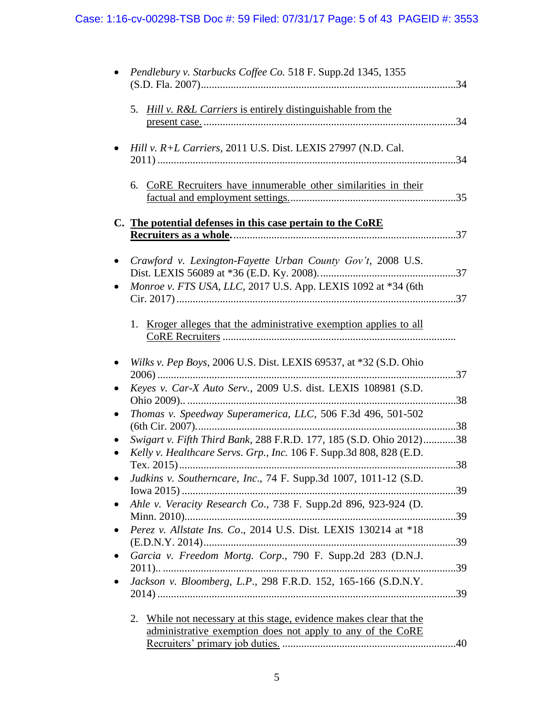| Pendlebury v. Starbucks Coffee Co. 518 F. Supp.2d 1345, 1355                                                                               |     |
|--------------------------------------------------------------------------------------------------------------------------------------------|-----|
| Hill v. R&L Carriers is entirely distinguishable from the<br>5.                                                                            |     |
| Hill v. R+L Carriers, 2011 U.S. Dist. LEXIS 27997 (N.D. Cal.                                                                               |     |
| 6. CoRE Recruiters have innumerable other similarities in their                                                                            |     |
| C. The potential defenses in this case pertain to the CoRE                                                                                 | .37 |
| Crawford v. Lexington-Fayette Urban County Gov't, 2008 U.S.                                                                                |     |
| Monroe v. FTS USA, LLC, 2017 U.S. App. LEXIS 1092 at *34 (6th                                                                              |     |
| 1. Kroger alleges that the administrative exemption applies to all                                                                         |     |
| Wilks v. Pep Boys, 2006 U.S. Dist. LEXIS 69537, at *32 (S.D. Ohio<br>$2006)$                                                               |     |
| Keyes v. Car-X Auto Serv., 2009 U.S. dist. LEXIS 108981 (S.D.                                                                              |     |
| Thomas v. Speedway Superamerica, LLC, 506 F.3d 496, 501-502                                                                                |     |
| Swigart v. Fifth Third Bank, 288 F.R.D. 177, 185 (S.D. Ohio 2012)38<br>Kelly v. Healthcare Servs. Grp., Inc. 106 F. Supp.3d 808, 828 (E.D. |     |
| Judkins v. Southerncare, Inc., 74 F. Supp.3d 1007, 1011-12 (S.D.                                                                           |     |
| Ahle v. Veracity Research Co., 738 F. Supp.2d 896, 923-924 (D.                                                                             |     |
| Perez v. Allstate Ins. Co., 2014 U.S. Dist. LEXIS 130214 at *18<br>$(E.D.N.Y. 2014)$                                                       | .39 |
| Garcia v. Freedom Mortg. Corp., 790 F. Supp.2d 283 (D.N.J.                                                                                 |     |
| Jackson v. Bloomberg, L.P., 298 F.R.D. 152, 165-166 (S.D.N.Y.                                                                              |     |
| While not necessary at this stage, evidence makes clear that the<br>2.<br>administrative exemption does not apply to any of the CoRE       |     |
|                                                                                                                                            |     |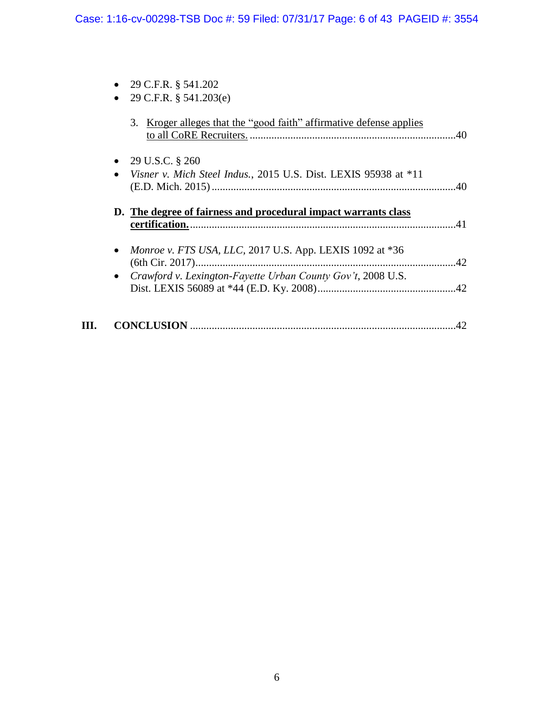| 29 C.F.R. § 541.202                                                                        |                 |
|--------------------------------------------------------------------------------------------|-----------------|
| 29 C.F.R. § 541.203(e)                                                                     |                 |
| 3. Kroger alleges that the "good faith" affirmative defense applies                        |                 |
| • 29 U.S.C. $\S 260$                                                                       |                 |
| Visner v. Mich Steel Indus., 2015 U.S. Dist. LEXIS 95938 at *11<br>$\bullet$               | $\therefore$ 40 |
| D. The degree of fairness and procedural impact warrants class                             |                 |
|                                                                                            | 41              |
| Monroe v. FTS USA, LLC, 2017 U.S. App. LEXIS 1092 at *36<br>$\bullet$<br>$(6th Cir. 2017)$ |                 |
| • Crawford v. Lexington-Fayette Urban County Gov't, 2008 U.S.                              |                 |
|                                                                                            |                 |
|                                                                                            |                 |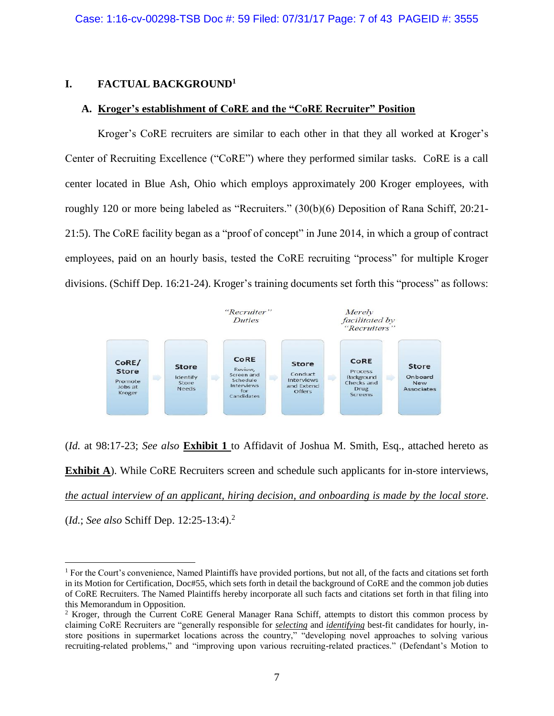### **I. FACTUAL BACKGROUND<sup>1</sup>**

 $\overline{a}$ 

#### **A. Kroger's establishment of CoRE and the "CoRE Recruiter" Position**

Kroger's CoRE recruiters are similar to each other in that they all worked at Kroger's Center of Recruiting Excellence ("CoRE") where they performed similar tasks. CoRE is a call center located in Blue Ash, Ohio which employs approximately 200 Kroger employees, with roughly 120 or more being labeled as "Recruiters." (30(b)(6) Deposition of Rana Schiff, 20:21- 21:5). The CoRE facility began as a "proof of concept" in June 2014, in which a group of contract employees, paid on an hourly basis, tested the CoRE recruiting "process" for multiple Kroger divisions. (Schiff Dep. 16:21-24). Kroger's training documents set forth this "process" as follows:



(*Id.* at 98:17-23; *See also* **Exhibit 1** to Affidavit of Joshua M. Smith, Esq., attached hereto as **Exhibit A**). While CoRE Recruiters screen and schedule such applicants for in-store interviews, *the actual interview of an applicant, hiring decision, and onboarding is made by the local store*. (*Id.*; *See also* Schiff Dep. 12:25-13:4).<sup>2</sup>

<sup>&</sup>lt;sup>1</sup> For the Court's convenience, Named Plaintiffs have provided portions, but not all, of the facts and citations set forth in its Motion for Certification, Doc#55, which sets forth in detail the background of CoRE and the common job duties of CoRE Recruiters. The Named Plaintiffs hereby incorporate all such facts and citations set forth in that filing into this Memorandum in Opposition.

<sup>&</sup>lt;sup>2</sup> Kroger, through the Current CoRE General Manager Rana Schiff, attempts to distort this common process by claiming CoRE Recruiters are "generally responsible for *selecting* and *identifying* best-fit candidates for hourly, instore positions in supermarket locations across the country," "developing novel approaches to solving various recruiting-related problems," and "improving upon various recruiting-related practices." (Defendant's Motion to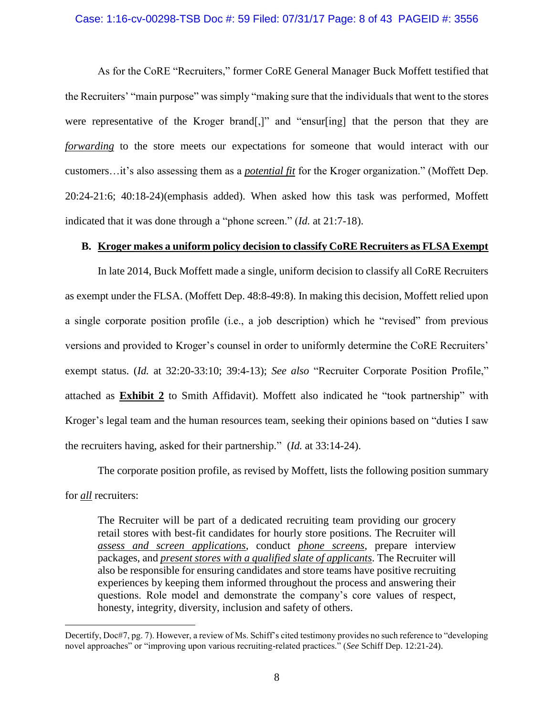#### Case: 1:16-cv-00298-TSB Doc #: 59 Filed: 07/31/17 Page: 8 of 43 PAGEID #: 3556

As for the CoRE "Recruiters," former CoRE General Manager Buck Moffett testified that the Recruiters' "main purpose" was simply "making sure that the individuals that went to the stores were representative of the Kroger brand[,]" and "ensur[ing] that the person that they are *forwarding* to the store meets our expectations for someone that would interact with our customers…it's also assessing them as a *potential fit* for the Kroger organization." (Moffett Dep. 20:24-21:6; 40:18-24)(emphasis added). When asked how this task was performed, Moffett indicated that it was done through a "phone screen." (*Id.* at 21:7-18).

### **B. Kroger makes a uniform policy decision to classify CoRE Recruiters as FLSA Exempt**

In late 2014, Buck Moffett made a single, uniform decision to classify all CoRE Recruiters as exempt under the FLSA. (Moffett Dep. 48:8-49:8). In making this decision, Moffett relied upon a single corporate position profile (i.e., a job description) which he "revised" from previous versions and provided to Kroger's counsel in order to uniformly determine the CoRE Recruiters' exempt status. (*Id.* at 32:20-33:10; 39:4-13); *See also* "Recruiter Corporate Position Profile," attached as **Exhibit 2** to Smith Affidavit). Moffett also indicated he "took partnership" with Kroger's legal team and the human resources team, seeking their opinions based on "duties I saw the recruiters having, asked for their partnership." (*Id.* at 33:14-24).

The corporate position profile, as revised by Moffett, lists the following position summary for *all* recruiters:

The Recruiter will be part of a dedicated recruiting team providing our grocery retail stores with best-fit candidates for hourly store positions. The Recruiter will *assess and screen applications*, conduct *phone screens*, prepare interview packages, and *present stores with a qualified slate of applicants*. The Recruiter will also be responsible for ensuring candidates and store teams have positive recruiting experiences by keeping them informed throughout the process and answering their questions. Role model and demonstrate the company's core values of respect, honesty, integrity, diversity, inclusion and safety of others.

Decertify, Doc#7, pg. 7). However, a review of Ms. Schiff's cited testimony provides no such reference to "developing novel approaches" or "improving upon various recruiting-related practices." (*See* Schiff Dep. 12:21-24).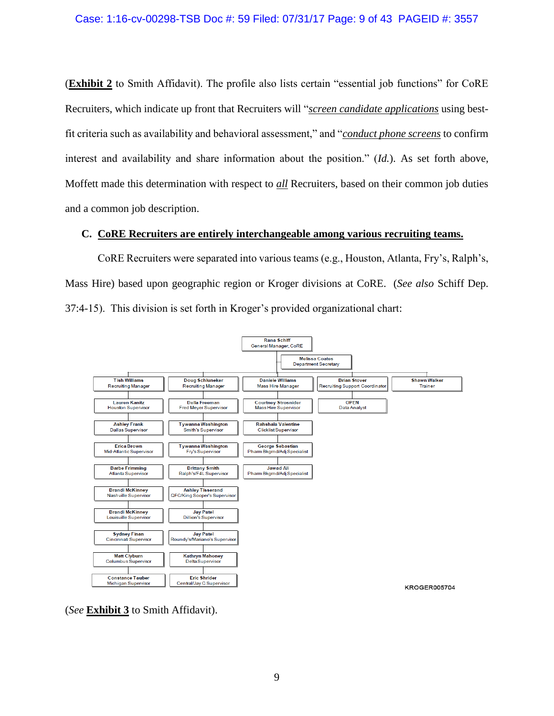(**Exhibit 2** to Smith Affidavit). The profile also lists certain "essential job functions" for CoRE Recruiters, which indicate up front that Recruiters will "*screen candidate applications* using bestfit criteria such as availability and behavioral assessment," and "*conduct phone screens* to confirm interest and availability and share information about the position." (*Id.*). As set forth above, Moffett made this determination with respect to *all* Recruiters, based on their common job duties and a common job description.

# **C. CoRE Recruiters are entirely interchangeable among various recruiting teams.**

CoRE Recruiters were separated into various teams (e.g., Houston, Atlanta, Fry's, Ralph's, Mass Hire) based upon geographic region or Kroger divisions at CoRE. (*See also* Schiff Dep. 37:4-15). This division is set forth in Kroger's provided organizational chart:



(*See* **Exhibit 3** to Smith Affidavit).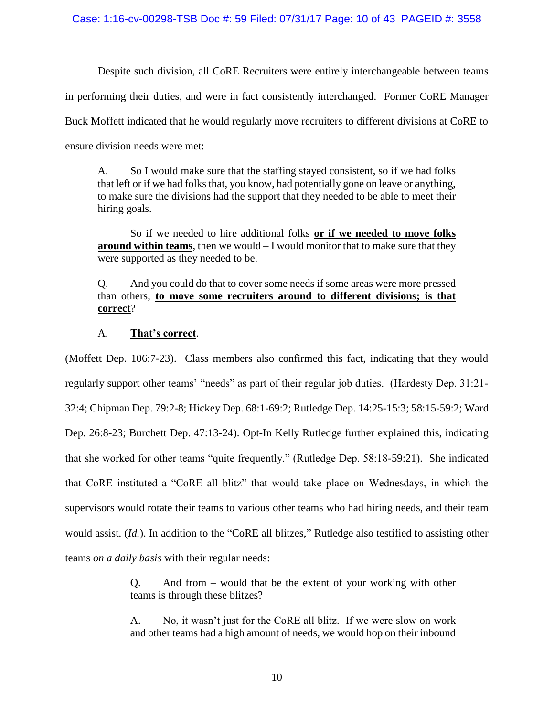Despite such division, all CoRE Recruiters were entirely interchangeable between teams

in performing their duties, and were in fact consistently interchanged. Former CoRE Manager

Buck Moffett indicated that he would regularly move recruiters to different divisions at CoRE to

ensure division needs were met:

A. So I would make sure that the staffing stayed consistent, so if we had folks that left or if we had folks that, you know, had potentially gone on leave or anything, to make sure the divisions had the support that they needed to be able to meet their hiring goals.

So if we needed to hire additional folks **or if we needed to move folks around within teams**, then we would – I would monitor that to make sure that they were supported as they needed to be.

# Q. And you could do that to cover some needs if some areas were more pressed than others, **to move some recruiters around to different divisions; is that correct**?

# A. **That's correct**.

(Moffett Dep. 106:7-23). Class members also confirmed this fact, indicating that they would regularly support other teams' "needs" as part of their regular job duties. (Hardesty Dep. 31:21- 32:4; Chipman Dep. 79:2-8; Hickey Dep. 68:1-69:2; Rutledge Dep. 14:25-15:3; 58:15-59:2; Ward Dep. 26:8-23; Burchett Dep. 47:13-24). Opt-In Kelly Rutledge further explained this, indicating that she worked for other teams "quite frequently." (Rutledge Dep. 58:18-59:21). She indicated that CoRE instituted a "CoRE all blitz" that would take place on Wednesdays, in which the supervisors would rotate their teams to various other teams who had hiring needs, and their team would assist. (*Id.*). In addition to the "CoRE all blitzes," Rutledge also testified to assisting other teams *on a daily basis* with their regular needs:

> Q. And from – would that be the extent of your working with other teams is through these blitzes?

> A. No, it wasn't just for the CoRE all blitz. If we were slow on work and other teams had a high amount of needs, we would hop on their inbound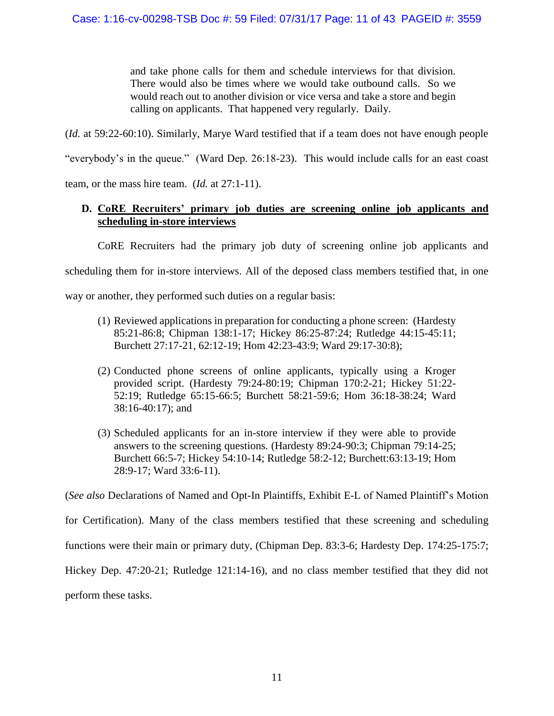and take phone calls for them and schedule interviews for that division. There would also be times where we would take outbound calls. So we would reach out to another division or vice versa and take a store and begin calling on applicants. That happened very regularly. Daily.

(*Id.* at 59:22-60:10). Similarly, Marye Ward testified that if a team does not have enough people

"everybody's in the queue." (Ward Dep. 26:18-23). This would include calls for an east coast

team, or the mass hire team. (*Id.* at 27:1-11).

# **D. CoRE Recruiters' primary job duties are screening online job applicants and scheduling in-store interviews**

CoRE Recruiters had the primary job duty of screening online job applicants and

scheduling them for in-store interviews. All of the deposed class members testified that, in one

way or another, they performed such duties on a regular basis:

- (1) Reviewed applications in preparation for conducting a phone screen: (Hardesty 85:21-86:8; Chipman 138:1-17; Hickey 86:25-87:24; Rutledge 44:15-45:11; Burchett 27:17-21, 62:12-19; Hom 42:23-43:9; Ward 29:17-30:8);
- (2) Conducted phone screens of online applicants, typically using a Kroger provided script. (Hardesty 79:24-80:19; Chipman 170:2-21; Hickey 51:22- 52:19; Rutledge 65:15-66:5; Burchett 58:21-59:6; Hom 36:18-38:24; Ward 38:16-40:17); and
- (3) Scheduled applicants for an in-store interview if they were able to provide answers to the screening questions. (Hardesty 89:24-90:3; Chipman 79:14-25; Burchett 66:5-7; Hickey 54:10-14; Rutledge 58:2-12; Burchett:63:13-19; Hom 28:9-17; Ward 33:6-11).

(*See also* Declarations of Named and Opt-In Plaintiffs, Exhibit E-L of Named Plaintiff's Motion

for Certification). Many of the class members testified that these screening and scheduling

functions were their main or primary duty, (Chipman Dep. 83:3-6; Hardesty Dep. 174:25-175:7;

Hickey Dep. 47:20-21; Rutledge 121:14-16), and no class member testified that they did not

perform these tasks.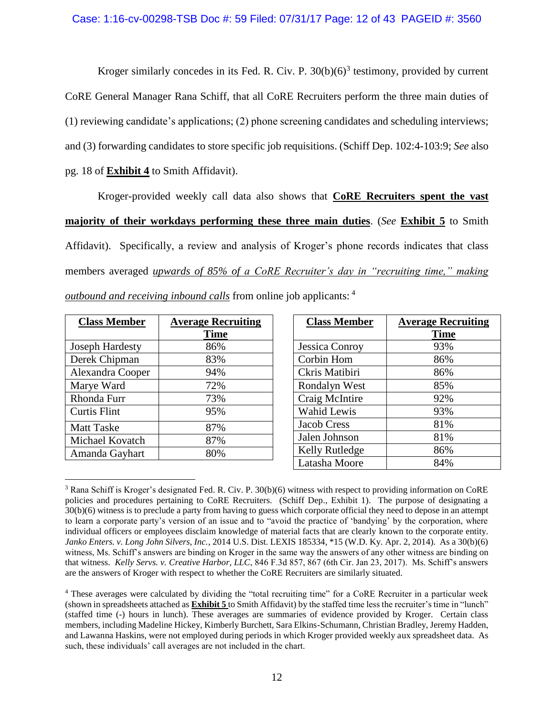Kroger similarly concedes in its Fed. R. Civ. P.  $30(b)(6)^3$  testimony, provided by current CoRE General Manager Rana Schiff, that all CoRE Recruiters perform the three main duties of (1) reviewing candidate's applications; (2) phone screening candidates and scheduling interviews; and (3) forwarding candidates to store specific job requisitions. (Schiff Dep. 102:4-103:9; *See* also pg. 18 of **Exhibit 4** to Smith Affidavit).

Kroger-provided weekly call data also shows that **CoRE Recruiters spent the vast majority of their workdays performing these three main duties**. (*See* **Exhibit 5** to Smith Affidavit). Specifically, a review and analysis of Kroger's phone records indicates that class members averaged *upwards of 85% of a CoRE Recruiter's day in "recruiting time," making outbound and receiving inbound calls* from online job applicants: <sup>4</sup>

| <b>Class Member</b>    | <b>Average Recruiting</b> |
|------------------------|---------------------------|
|                        | <b>Time</b>               |
| <b>Joseph Hardesty</b> | 86%                       |
| Derek Chipman          | 83%                       |
| Alexandra Cooper       | 94%                       |
| Marye Ward             | 72%                       |
| Rhonda Furr            | 73%                       |
| <b>Curtis Flint</b>    | 95%                       |
| <b>Matt Taske</b>      | 87%                       |
| Michael Kovatch        | 87%                       |
| Amanda Gayhart         | 80%                       |

| <b>Class Member</b> | <b>Average Recruiting</b> |
|---------------------|---------------------------|
|                     | Time                      |
| Jessica Conroy      | 93%                       |
| Corbin Hom          | 86%                       |
| Ckris Matibiri      | 86%                       |
| Rondalyn West       | 85%                       |
| Craig McIntire      | 92%                       |
| <b>Wahid Lewis</b>  | 93%                       |
| <b>Jacob Cress</b>  | 81%                       |
| Jalen Johnson       | 81%                       |
| Kelly Rutledge      | 86%                       |
| Latasha Moore       | 84%                       |

 $\overline{a}$ <sup>3</sup> Rana Schiff is Kroger's designated Fed. R. Civ. P. 30(b)(6) witness with respect to providing information on CoRE policies and procedures pertaining to CoRE Recruiters. (Schiff Dep., Exhibit 1). The purpose of designating a 30(b)(6) witness is to preclude a party from having to guess which corporate official they need to depose in an attempt to learn a corporate party's version of an issue and to "avoid the practice of 'bandying' by the corporation, where individual officers or employees disclaim knowledge of material facts that are clearly known to the corporate entity. *Janko Enters. v. Long John Silvers, Inc.*, 2014 U.S. Dist. LEXIS 185334, \*15 (W.D. Ky. Apr. 2, 2014). As a 30(b)(6) witness, Ms. Schiff's answers are binding on Kroger in the same way the answers of any other witness are binding on that witness. *Kelly Servs. v. Creative Harbor, LLC*, 846 F.3d 857, 867 (6th Cir. Jan 23, 2017). Ms. Schiff's answers are the answers of Kroger with respect to whether the CoRE Recruiters are similarly situated.

<sup>4</sup> These averages were calculated by dividing the "total recruiting time" for a CoRE Recruiter in a particular week (shown in spreadsheets attached as **Exhibit 5** to Smith Affidavit) by the staffed time less the recruiter's time in "lunch" (staffed time (-) hours in lunch). These averages are summaries of evidence provided by Kroger. Certain class members, including Madeline Hickey, Kimberly Burchett, Sara Elkins-Schumann, Christian Bradley, Jeremy Hadden, and Lawanna Haskins, were not employed during periods in which Kroger provided weekly aux spreadsheet data. As such, these individuals' call averages are not included in the chart.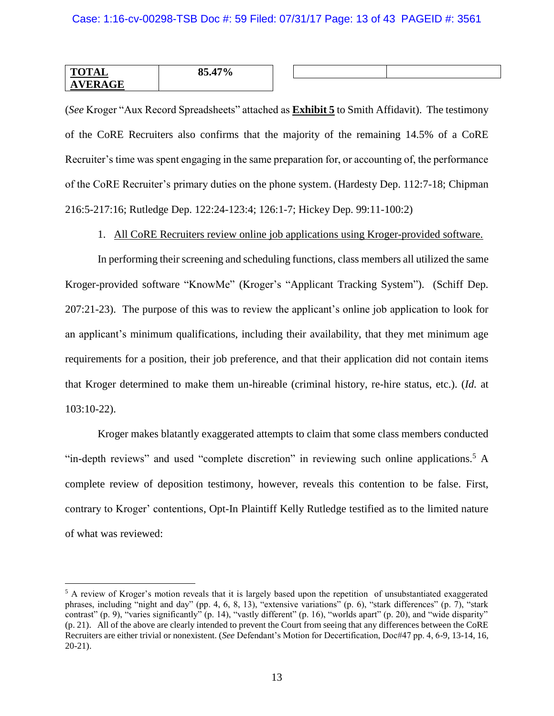| TOTAL<br>IAL<br>-           | $17\%$<br>0E<br>oz |  |  |
|-----------------------------|--------------------|--|--|
| <b>GE</b><br>$\overline{A}$ |                    |  |  |

(*See* Kroger "Aux Record Spreadsheets" attached as **Exhibit 5** to Smith Affidavit). The testimony of the CoRE Recruiters also confirms that the majority of the remaining 14.5% of a CoRE Recruiter's time was spent engaging in the same preparation for, or accounting of, the performance of the CoRE Recruiter's primary duties on the phone system. (Hardesty Dep. 112:7-18; Chipman 216:5-217:16; Rutledge Dep. 122:24-123:4; 126:1-7; Hickey Dep. 99:11-100:2)

1. All CoRE Recruiters review online job applications using Kroger-provided software.

In performing their screening and scheduling functions, class members all utilized the same Kroger-provided software "KnowMe" (Kroger's "Applicant Tracking System"). (Schiff Dep. 207:21-23). The purpose of this was to review the applicant's online job application to look for an applicant's minimum qualifications, including their availability, that they met minimum age requirements for a position, their job preference, and that their application did not contain items that Kroger determined to make them un-hireable (criminal history, re-hire status, etc.). (*Id.* at 103:10-22).

Kroger makes blatantly exaggerated attempts to claim that some class members conducted "in-depth reviews" and used "complete discretion" in reviewing such online applications.<sup>5</sup> A complete review of deposition testimony, however, reveals this contention to be false. First, contrary to Kroger' contentions, Opt-In Plaintiff Kelly Rutledge testified as to the limited nature of what was reviewed:

<sup>&</sup>lt;sup>5</sup> A review of Kroger's motion reveals that it is largely based upon the repetition of unsubstantiated exaggerated phrases, including "night and day" (pp. 4, 6, 8, 13), "extensive variations" (p. 6), "stark differences" (p. 7), "stark contrast" (p. 9), "varies significantly" (p. 14), "vastly different" (p. 16), "worlds apart" (p. 20), and "wide disparity" (p. 21). All of the above are clearly intended to prevent the Court from seeing that any differences between the CoRE Recruiters are either trivial or nonexistent. (*See* Defendant's Motion for Decertification, Doc#47 pp. 4, 6-9, 13-14, 16, 20-21).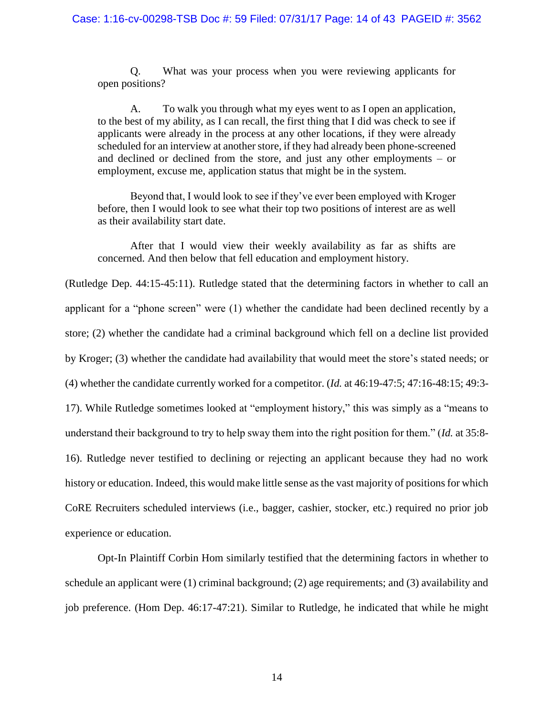Q. What was your process when you were reviewing applicants for open positions?

A. To walk you through what my eyes went to as I open an application, to the best of my ability, as I can recall, the first thing that I did was check to see if applicants were already in the process at any other locations, if they were already scheduled for an interview at another store, if they had already been phone-screened and declined or declined from the store, and just any other employments – or employment, excuse me, application status that might be in the system.

Beyond that, I would look to see if they've ever been employed with Kroger before, then I would look to see what their top two positions of interest are as well as their availability start date.

After that I would view their weekly availability as far as shifts are concerned. And then below that fell education and employment history.

(Rutledge Dep. 44:15-45:11). Rutledge stated that the determining factors in whether to call an applicant for a "phone screen" were (1) whether the candidate had been declined recently by a store; (2) whether the candidate had a criminal background which fell on a decline list provided by Kroger; (3) whether the candidate had availability that would meet the store's stated needs; or (4) whether the candidate currently worked for a competitor. (*Id.* at 46:19-47:5; 47:16-48:15; 49:3- 17). While Rutledge sometimes looked at "employment history," this was simply as a "means to understand their background to try to help sway them into the right position for them." (*Id.* at 35:8- 16). Rutledge never testified to declining or rejecting an applicant because they had no work history or education. Indeed, this would make little sense as the vast majority of positions for which CoRE Recruiters scheduled interviews (i.e., bagger, cashier, stocker, etc.) required no prior job experience or education.

Opt-In Plaintiff Corbin Hom similarly testified that the determining factors in whether to schedule an applicant were (1) criminal background; (2) age requirements; and (3) availability and job preference. (Hom Dep. 46:17-47:21). Similar to Rutledge, he indicated that while he might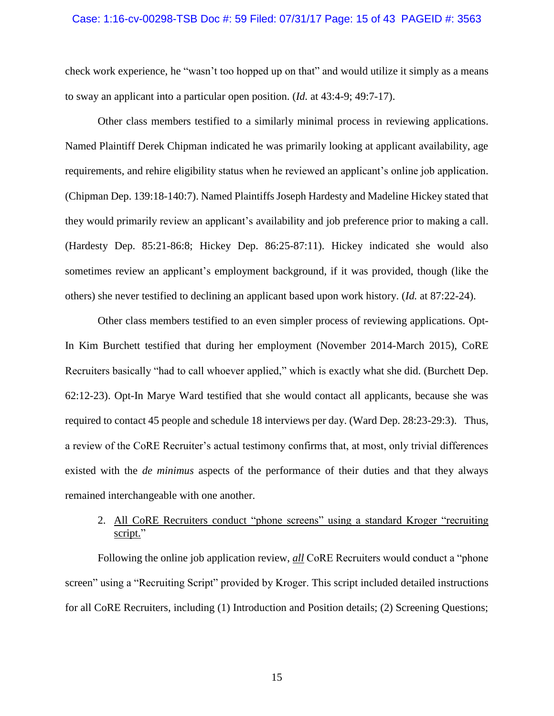#### Case: 1:16-cv-00298-TSB Doc #: 59 Filed: 07/31/17 Page: 15 of 43 PAGEID #: 3563

check work experience, he "wasn't too hopped up on that" and would utilize it simply as a means to sway an applicant into a particular open position. (*Id.* at 43:4-9; 49:7-17).

Other class members testified to a similarly minimal process in reviewing applications. Named Plaintiff Derek Chipman indicated he was primarily looking at applicant availability, age requirements, and rehire eligibility status when he reviewed an applicant's online job application. (Chipman Dep. 139:18-140:7). Named Plaintiffs Joseph Hardesty and Madeline Hickey stated that they would primarily review an applicant's availability and job preference prior to making a call. (Hardesty Dep. 85:21-86:8; Hickey Dep. 86:25-87:11). Hickey indicated she would also sometimes review an applicant's employment background, if it was provided, though (like the others) she never testified to declining an applicant based upon work history. (*Id.* at 87:22-24).

Other class members testified to an even simpler process of reviewing applications. Opt-In Kim Burchett testified that during her employment (November 2014-March 2015), CoRE Recruiters basically "had to call whoever applied," which is exactly what she did. (Burchett Dep. 62:12-23). Opt-In Marye Ward testified that she would contact all applicants, because she was required to contact 45 people and schedule 18 interviews per day. (Ward Dep. 28:23-29:3). Thus, a review of the CoRE Recruiter's actual testimony confirms that, at most, only trivial differences existed with the *de minimus* aspects of the performance of their duties and that they always remained interchangeable with one another.

# 2. All CoRE Recruiters conduct "phone screens" using a standard Kroger "recruiting script."

Following the online job application review, *all* CoRE Recruiters would conduct a "phone screen" using a "Recruiting Script" provided by Kroger. This script included detailed instructions for all CoRE Recruiters, including (1) Introduction and Position details; (2) Screening Questions;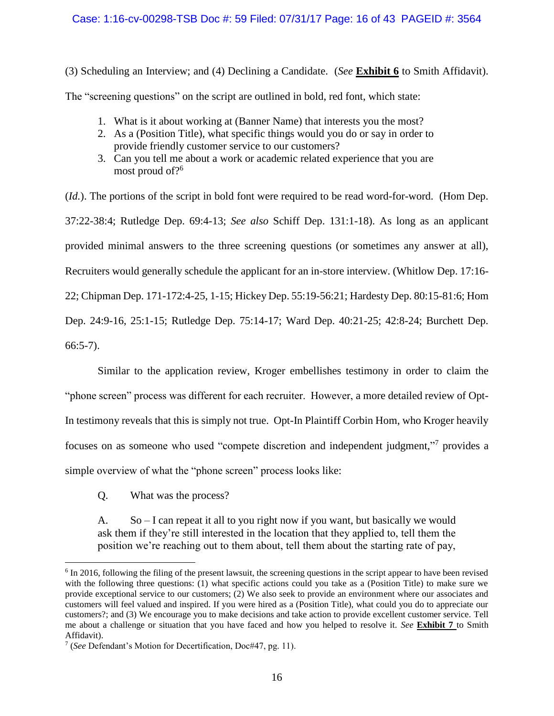## Case: 1:16-cv-00298-TSB Doc #: 59 Filed: 07/31/17 Page: 16 of 43 PAGEID #: 3564

(3) Scheduling an Interview; and (4) Declining a Candidate. (*See* **Exhibit 6** to Smith Affidavit).

The "screening questions" on the script are outlined in bold, red font, which state:

- 1. What is it about working at (Banner Name) that interests you the most?
- 2. As a (Position Title), what specific things would you do or say in order to provide friendly customer service to our customers?
- 3. Can you tell me about a work or academic related experience that you are most proud of?<sup>6</sup>

(*Id.*). The portions of the script in bold font were required to be read word-for-word. (Hom Dep. 37:22-38:4; Rutledge Dep. 69:4-13; *See also* Schiff Dep. 131:1-18). As long as an applicant provided minimal answers to the three screening questions (or sometimes any answer at all), Recruiters would generally schedule the applicant for an in-store interview. (Whitlow Dep. 17:16- 22; Chipman Dep. 171-172:4-25, 1-15; Hickey Dep. 55:19-56:21; Hardesty Dep. 80:15-81:6; Hom Dep. 24:9-16, 25:1-15; Rutledge Dep. 75:14-17; Ward Dep. 40:21-25; 42:8-24; Burchett Dep. 66:5-7).

Similar to the application review, Kroger embellishes testimony in order to claim the "phone screen" process was different for each recruiter. However, a more detailed review of Opt-In testimony reveals that this is simply not true. Opt-In Plaintiff Corbin Hom, who Kroger heavily focuses on as someone who used "compete discretion and independent judgment,"<sup>7</sup> provides a simple overview of what the "phone screen" process looks like:

Q. What was the process?

 $\overline{a}$ 

A.  $So-I can repeat it all to you right now if you want, but basically we would$ ask them if they're still interested in the location that they applied to, tell them the position we're reaching out to them about, tell them about the starting rate of pay,

<sup>&</sup>lt;sup>6</sup> In 2016, following the filing of the present lawsuit, the screening questions in the script appear to have been revised with the following three questions: (1) what specific actions could you take as a (Position Title) to make sure we provide exceptional service to our customers; (2) We also seek to provide an environment where our associates and customers will feel valued and inspired. If you were hired as a (Position Title), what could you do to appreciate our customers?; and (3) We encourage you to make decisions and take action to provide excellent customer service. Tell me about a challenge or situation that you have faced and how you helped to resolve it. *See* **Exhibit 7** to Smith Affidavit).

<sup>7</sup> (*See* Defendant's Motion for Decertification, Doc#47, pg. 11).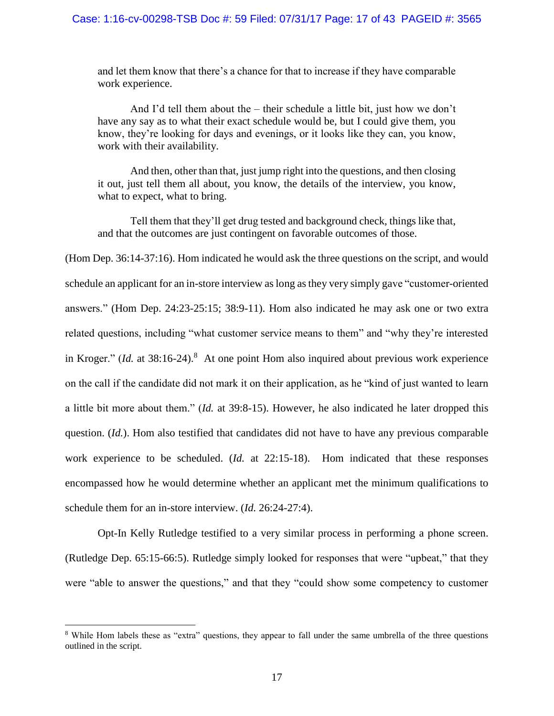and let them know that there's a chance for that to increase if they have comparable work experience.

And I'd tell them about the – their schedule a little bit, just how we don't have any say as to what their exact schedule would be, but I could give them, you know, they're looking for days and evenings, or it looks like they can, you know, work with their availability.

And then, other than that, just jump right into the questions, and then closing it out, just tell them all about, you know, the details of the interview, you know, what to expect, what to bring.

Tell them that they'll get drug tested and background check, things like that, and that the outcomes are just contingent on favorable outcomes of those.

(Hom Dep. 36:14-37:16). Hom indicated he would ask the three questions on the script, and would schedule an applicant for an in-store interview as long as they very simply gave "customer-oriented answers." (Hom Dep. 24:23-25:15; 38:9-11). Hom also indicated he may ask one or two extra related questions, including "what customer service means to them" and "why they're interested in Kroger." (*Id.* at 38:16-24). <sup>8</sup> At one point Hom also inquired about previous work experience on the call if the candidate did not mark it on their application, as he "kind of just wanted to learn a little bit more about them." (*Id.* at 39:8-15). However, he also indicated he later dropped this question. (*Id.*). Hom also testified that candidates did not have to have any previous comparable work experience to be scheduled. (*Id.* at 22:15-18). Hom indicated that these responses encompassed how he would determine whether an applicant met the minimum qualifications to schedule them for an in-store interview. (*Id.* 26:24-27:4).

Opt-In Kelly Rutledge testified to a very similar process in performing a phone screen. (Rutledge Dep. 65:15-66:5). Rutledge simply looked for responses that were "upbeat," that they were "able to answer the questions," and that they "could show some competency to customer

<sup>8</sup> While Hom labels these as "extra" questions, they appear to fall under the same umbrella of the three questions outlined in the script.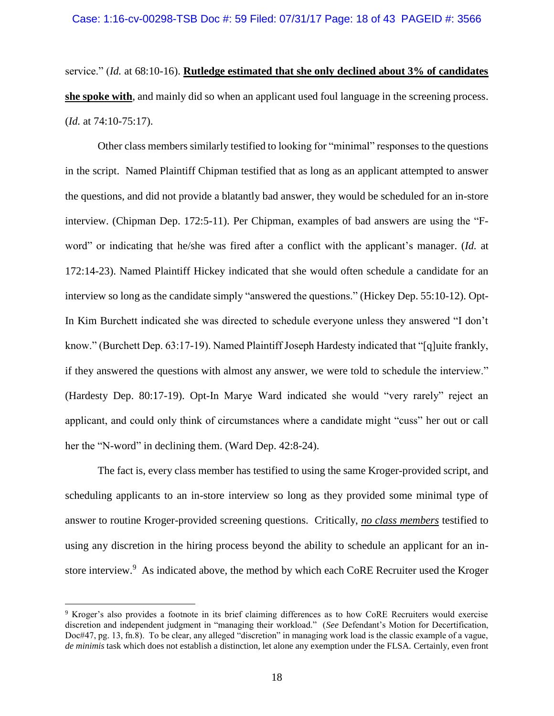service." (*Id.* at 68:10-16). **Rutledge estimated that she only declined about 3% of candidates she spoke with**, and mainly did so when an applicant used foul language in the screening process. (*Id.* at 74:10-75:17).

Other class members similarly testified to looking for "minimal" responses to the questions in the script. Named Plaintiff Chipman testified that as long as an applicant attempted to answer the questions, and did not provide a blatantly bad answer, they would be scheduled for an in-store interview. (Chipman Dep. 172:5-11). Per Chipman, examples of bad answers are using the "Fword" or indicating that he/she was fired after a conflict with the applicant's manager. (*Id.* at 172:14-23). Named Plaintiff Hickey indicated that she would often schedule a candidate for an interview so long as the candidate simply "answered the questions." (Hickey Dep. 55:10-12). Opt-In Kim Burchett indicated she was directed to schedule everyone unless they answered "I don't know." (Burchett Dep. 63:17-19). Named Plaintiff Joseph Hardesty indicated that "[q]uite frankly, if they answered the questions with almost any answer, we were told to schedule the interview." (Hardesty Dep. 80:17-19). Opt-In Marye Ward indicated she would "very rarely" reject an applicant, and could only think of circumstances where a candidate might "cuss" her out or call her the "N-word" in declining them. (Ward Dep. 42:8-24).

The fact is, every class member has testified to using the same Kroger-provided script, and scheduling applicants to an in-store interview so long as they provided some minimal type of answer to routine Kroger-provided screening questions. Critically, *no class members* testified to using any discretion in the hiring process beyond the ability to schedule an applicant for an instore interview.<sup>9</sup> As indicated above, the method by which each CoRE Recruiter used the Kroger

<sup>9</sup> Kroger's also provides a footnote in its brief claiming differences as to how CoRE Recruiters would exercise discretion and independent judgment in "managing their workload." (*See* Defendant's Motion for Decertification, Doc#47, pg. 13, fn.8). To be clear, any alleged "discretion" in managing work load is the classic example of a vague, *de minimis* task which does not establish a distinction, let alone any exemption under the FLSA. Certainly, even front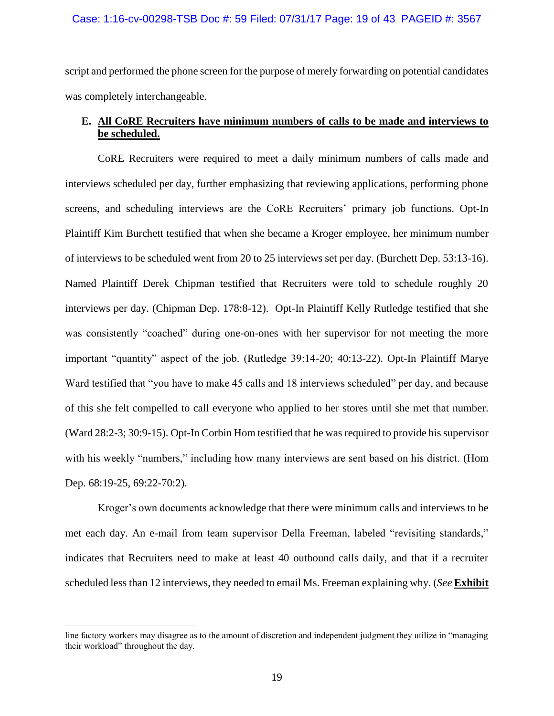#### Case: 1:16-cv-00298-TSB Doc #: 59 Filed: 07/31/17 Page: 19 of 43 PAGEID #: 3567

script and performed the phone screen for the purpose of merely forwarding on potential candidates was completely interchangeable.

# **E. All CoRE Recruiters have minimum numbers of calls to be made and interviews to be scheduled.**

CoRE Recruiters were required to meet a daily minimum numbers of calls made and interviews scheduled per day, further emphasizing that reviewing applications, performing phone screens, and scheduling interviews are the CoRE Recruiters' primary job functions. Opt-In Plaintiff Kim Burchett testified that when she became a Kroger employee, her minimum number of interviews to be scheduled went from 20 to 25 interviews set per day. (Burchett Dep. 53:13-16). Named Plaintiff Derek Chipman testified that Recruiters were told to schedule roughly 20 interviews per day. (Chipman Dep. 178:8-12). Opt-In Plaintiff Kelly Rutledge testified that she was consistently "coached" during one-on-ones with her supervisor for not meeting the more important "quantity" aspect of the job. (Rutledge 39:14-20; 40:13-22). Opt-In Plaintiff Marye Ward testified that "you have to make 45 calls and 18 interviews scheduled" per day, and because of this she felt compelled to call everyone who applied to her stores until she met that number. (Ward 28:2-3; 30:9-15). Opt-In Corbin Hom testified that he was required to provide his supervisor with his weekly "numbers," including how many interviews are sent based on his district. (Hom Dep. 68:19-25, 69:22-70:2).

Kroger's own documents acknowledge that there were minimum calls and interviews to be met each day. An e-mail from team supervisor Della Freeman, labeled "revisiting standards," indicates that Recruiters need to make at least 40 outbound calls daily, and that if a recruiter scheduled less than 12 interviews, they needed to email Ms. Freeman explaining why. (*See* **Exhibit** 

line factory workers may disagree as to the amount of discretion and independent judgment they utilize in "managing their workload" throughout the day.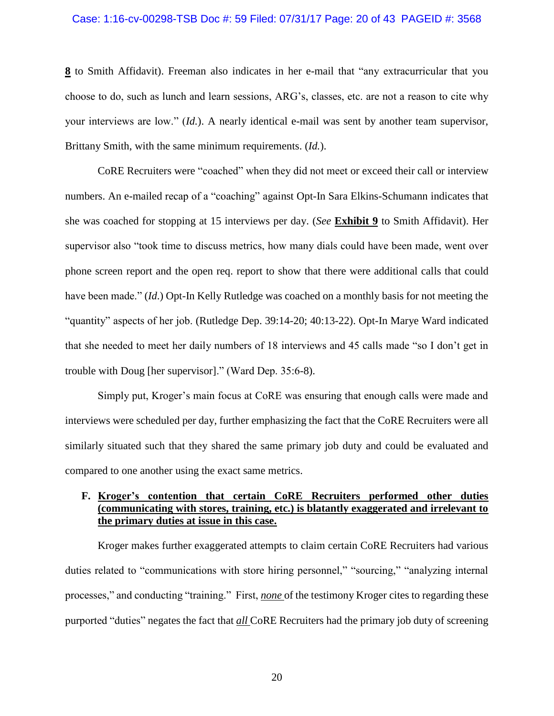#### Case: 1:16-cv-00298-TSB Doc #: 59 Filed: 07/31/17 Page: 20 of 43 PAGEID #: 3568

**8** to Smith Affidavit). Freeman also indicates in her e-mail that "any extracurricular that you choose to do, such as lunch and learn sessions, ARG's, classes, etc. are not a reason to cite why your interviews are low." (*Id.*). A nearly identical e-mail was sent by another team supervisor, Brittany Smith, with the same minimum requirements. (*Id.*).

CoRE Recruiters were "coached" when they did not meet or exceed their call or interview numbers. An e-mailed recap of a "coaching" against Opt-In Sara Elkins-Schumann indicates that she was coached for stopping at 15 interviews per day. (*See* **Exhibit 9** to Smith Affidavit). Her supervisor also "took time to discuss metrics, how many dials could have been made, went over phone screen report and the open req. report to show that there were additional calls that could have been made." (*Id*.) Opt-In Kelly Rutledge was coached on a monthly basis for not meeting the "quantity" aspects of her job. (Rutledge Dep. 39:14-20; 40:13-22). Opt-In Marye Ward indicated that she needed to meet her daily numbers of 18 interviews and 45 calls made "so I don't get in trouble with Doug [her supervisor]." (Ward Dep. 35:6-8).

Simply put, Kroger's main focus at CoRE was ensuring that enough calls were made and interviews were scheduled per day, further emphasizing the fact that the CoRE Recruiters were all similarly situated such that they shared the same primary job duty and could be evaluated and compared to one another using the exact same metrics.

# **F. Kroger's contention that certain CoRE Recruiters performed other duties (communicating with stores, training, etc.) is blatantly exaggerated and irrelevant to the primary duties at issue in this case.**

Kroger makes further exaggerated attempts to claim certain CoRE Recruiters had various duties related to "communications with store hiring personnel," "sourcing," "analyzing internal processes," and conducting "training." First, *none* of the testimony Kroger cites to regarding these purported "duties" negates the fact that *all* CoRE Recruiters had the primary job duty of screening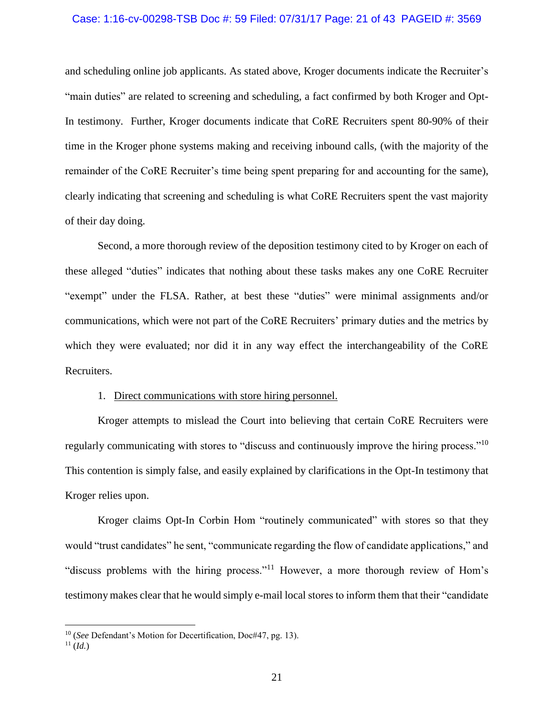#### Case: 1:16-cv-00298-TSB Doc #: 59 Filed: 07/31/17 Page: 21 of 43 PAGEID #: 3569

and scheduling online job applicants. As stated above, Kroger documents indicate the Recruiter's "main duties" are related to screening and scheduling, a fact confirmed by both Kroger and Opt-In testimony. Further, Kroger documents indicate that CoRE Recruiters spent 80-90% of their time in the Kroger phone systems making and receiving inbound calls, (with the majority of the remainder of the CoRE Recruiter's time being spent preparing for and accounting for the same), clearly indicating that screening and scheduling is what CoRE Recruiters spent the vast majority of their day doing.

Second, a more thorough review of the deposition testimony cited to by Kroger on each of these alleged "duties" indicates that nothing about these tasks makes any one CoRE Recruiter "exempt" under the FLSA. Rather, at best these "duties" were minimal assignments and/or communications, which were not part of the CoRE Recruiters' primary duties and the metrics by which they were evaluated; nor did it in any way effect the interchangeability of the CoRE Recruiters.

### 1. Direct communications with store hiring personnel.

Kroger attempts to mislead the Court into believing that certain CoRE Recruiters were regularly communicating with stores to "discuss and continuously improve the hiring process."<sup>10</sup> This contention is simply false, and easily explained by clarifications in the Opt-In testimony that Kroger relies upon.

Kroger claims Opt-In Corbin Hom "routinely communicated" with stores so that they would "trust candidates" he sent, "communicate regarding the flow of candidate applications," and "discuss problems with the hiring process."<sup>11</sup> However, a more thorough review of Hom's testimony makes clear that he would simply e-mail local stores to inform them that their "candidate

<sup>10</sup> (*See* Defendant's Motion for Decertification, Doc#47, pg. 13).

 $11$   $(Id.)$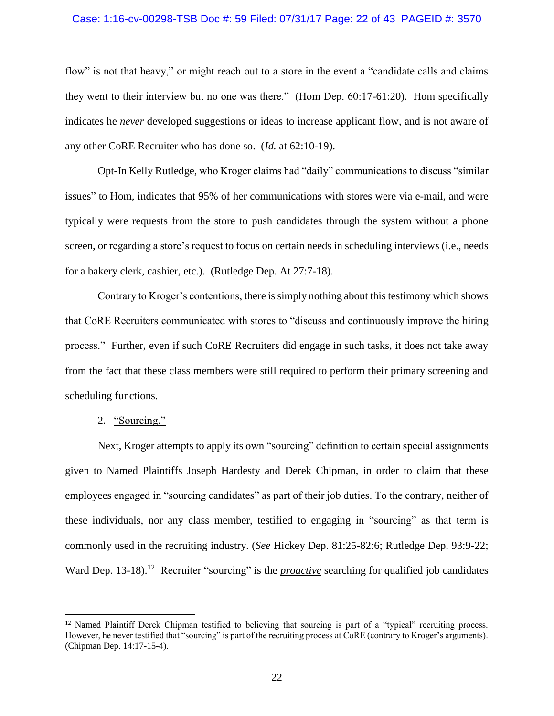#### Case: 1:16-cv-00298-TSB Doc #: 59 Filed: 07/31/17 Page: 22 of 43 PAGEID #: 3570

flow" is not that heavy," or might reach out to a store in the event a "candidate calls and claims" they went to their interview but no one was there." (Hom Dep. 60:17-61:20). Hom specifically indicates he *never* developed suggestions or ideas to increase applicant flow, and is not aware of any other CoRE Recruiter who has done so. (*Id.* at 62:10-19).

Opt-In Kelly Rutledge, who Kroger claims had "daily" communications to discuss "similar issues" to Hom, indicates that 95% of her communications with stores were via e-mail, and were typically were requests from the store to push candidates through the system without a phone screen, or regarding a store's request to focus on certain needs in scheduling interviews (i.e., needs for a bakery clerk, cashier, etc.). (Rutledge Dep. At 27:7-18).

Contrary to Kroger's contentions, there is simply nothing about this testimony which shows that CoRE Recruiters communicated with stores to "discuss and continuously improve the hiring process." Further, even if such CoRE Recruiters did engage in such tasks, it does not take away from the fact that these class members were still required to perform their primary screening and scheduling functions.

2. "Sourcing."

 $\overline{a}$ 

Next, Kroger attempts to apply its own "sourcing" definition to certain special assignments given to Named Plaintiffs Joseph Hardesty and Derek Chipman, in order to claim that these employees engaged in "sourcing candidates" as part of their job duties. To the contrary, neither of these individuals, nor any class member, testified to engaging in "sourcing" as that term is commonly used in the recruiting industry. (*See* Hickey Dep. 81:25-82:6; Rutledge Dep. 93:9-22; Ward Dep. 13-18).<sup>12</sup> Recruiter "sourcing" is the *proactive* searching for qualified job candidates

<sup>&</sup>lt;sup>12</sup> Named Plaintiff Derek Chipman testified to believing that sourcing is part of a "typical" recruiting process. However, he never testified that "sourcing" is part of the recruiting process at CoRE (contrary to Kroger's arguments). (Chipman Dep. 14:17-15-4).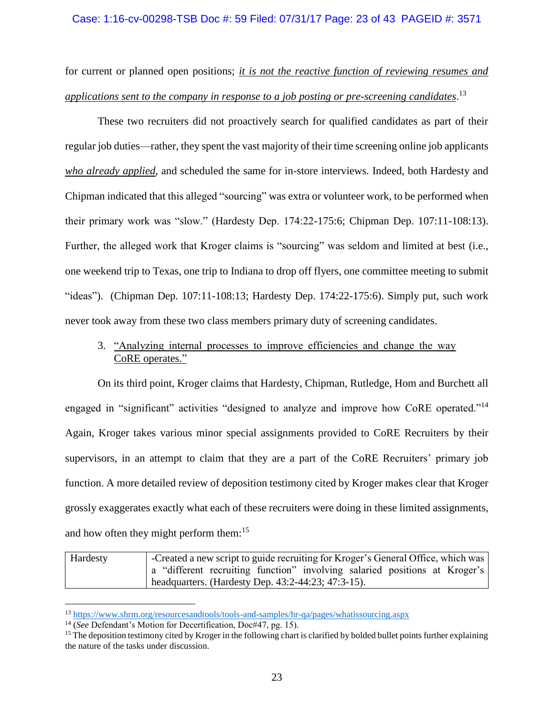### Case: 1:16-cv-00298-TSB Doc #: 59 Filed: 07/31/17 Page: 23 of 43 PAGEID #: 3571

for current or planned open positions; *it is not the reactive function of reviewing resumes and applications sent to the company in response to a job posting or pre-screening candidates*. 13

These two recruiters did not proactively search for qualified candidates as part of their regular job duties—rather, they spent the vast majority of their time screening online job applicants *who already applied*, and scheduled the same for in-store interviews. Indeed, both Hardesty and Chipman indicated that this alleged "sourcing" was extra or volunteer work, to be performed when their primary work was "slow." (Hardesty Dep. 174:22-175:6; Chipman Dep. 107:11-108:13). Further, the alleged work that Kroger claims is "sourcing" was seldom and limited at best (i.e., one weekend trip to Texas, one trip to Indiana to drop off flyers, one committee meeting to submit "ideas"). (Chipman Dep. 107:11-108:13; Hardesty Dep. 174:22-175:6). Simply put, such work never took away from these two class members primary duty of screening candidates.

# 3. "Analyzing internal processes to improve efficiencies and change the way CoRE operates."

On its third point, Kroger claims that Hardesty, Chipman, Rutledge, Hom and Burchett all engaged in "significant" activities "designed to analyze and improve how CoRE operated."<sup>14</sup> Again, Kroger takes various minor special assignments provided to CoRE Recruiters by their supervisors, in an attempt to claim that they are a part of the CoRE Recruiters' primary job function. A more detailed review of deposition testimony cited by Kroger makes clear that Kroger grossly exaggerates exactly what each of these recruiters were doing in these limited assignments, and how often they might perform them:<sup>15</sup>

| Hardesty | -Created a new script to guide recruiting for Kroger's General Office, which was |
|----------|----------------------------------------------------------------------------------|
|          | a "different recruiting function" involving salaried positions at Kroger's       |
|          | headquarters. (Hardesty Dep. $43:2-44:23$ ; $47:3-15$ ).                         |

<sup>13</sup> <https://www.shrm.org/resourcesandtools/tools-and-samples/hr-qa/pages/whatissourcing.aspx>

<sup>14</sup> (*See* Defendant's Motion for Decertification, Doc#47, pg. 15).

 $15$  The deposition testimony cited by Kroger in the following chart is clarified by bolded bullet points further explaining the nature of the tasks under discussion.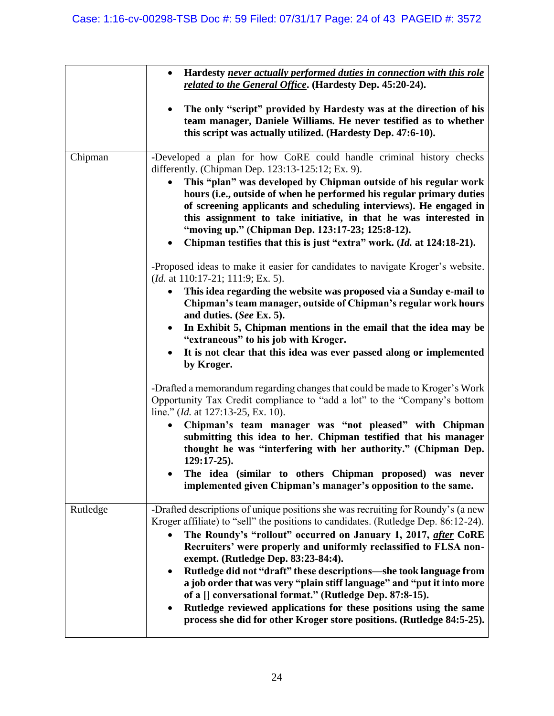|          | Hardesty never actually performed duties in connection with this role<br>$\bullet$<br>related to the General Office. (Hardesty Dep. 45:20-24).                                                                                                                                                                                                                                                                                                                                                                                                                                                                                                                                                                                                                                                                                                                                                                                                                                                                                                                                                                                                                                                                                                                                                                                                                                                    |
|----------|---------------------------------------------------------------------------------------------------------------------------------------------------------------------------------------------------------------------------------------------------------------------------------------------------------------------------------------------------------------------------------------------------------------------------------------------------------------------------------------------------------------------------------------------------------------------------------------------------------------------------------------------------------------------------------------------------------------------------------------------------------------------------------------------------------------------------------------------------------------------------------------------------------------------------------------------------------------------------------------------------------------------------------------------------------------------------------------------------------------------------------------------------------------------------------------------------------------------------------------------------------------------------------------------------------------------------------------------------------------------------------------------------|
|          | The only "script" provided by Hardesty was at the direction of his<br>$\bullet$<br>team manager, Daniele Williams. He never testified as to whether<br>this script was actually utilized. (Hardesty Dep. 47:6-10).                                                                                                                                                                                                                                                                                                                                                                                                                                                                                                                                                                                                                                                                                                                                                                                                                                                                                                                                                                                                                                                                                                                                                                                |
| Chipman  | -Developed a plan for how CoRE could handle criminal history checks<br>differently. (Chipman Dep. 123:13-125:12; Ex. 9).<br>This "plan" was developed by Chipman outside of his regular work<br>$\bullet$<br>hours (i.e., outside of when he performed his regular primary duties<br>of screening applicants and scheduling interviews). He engaged in<br>this assignment to take initiative, in that he was interested in<br>"moving up." (Chipman Dep. 123:17-23; 125:8-12).<br>Chipman testifies that this is just "extra" work. (Id. at 124:18-21).<br>$\bullet$<br>-Proposed ideas to make it easier for candidates to navigate Kroger's website.<br>( <i>Id.</i> at 110:17-21; 111:9; Ex. 5).<br>This idea regarding the website was proposed via a Sunday e-mail to<br>$\bullet$<br>Chipman's team manager, outside of Chipman's regular work hours<br>and duties. (See Ex. 5).<br>In Exhibit 5, Chipman mentions in the email that the idea may be<br>$\bullet$<br>"extraneous" to his job with Kroger.<br>It is not clear that this idea was ever passed along or implemented<br>$\bullet$<br>by Kroger.<br>-Drafted a memorandum regarding changes that could be made to Kroger's Work<br>Opportunity Tax Credit compliance to "add a lot" to the "Company's bottom<br>line." ( <i>Id.</i> at 127:13-25, Ex. 10).<br>Chipman's team manager was "not pleased" with Chipman<br>$\bullet$ |
|          | submitting this idea to her. Chipman testified that his manager<br>thought he was "interfering with her authority." (Chipman Dep.<br>$129:17-25$ .<br>The idea (similar to others Chipman proposed) was never<br>implemented given Chipman's manager's opposition to the same.                                                                                                                                                                                                                                                                                                                                                                                                                                                                                                                                                                                                                                                                                                                                                                                                                                                                                                                                                                                                                                                                                                                    |
| Rutledge | -Drafted descriptions of unique positions she was recruiting for Roundy's (a new<br>Kroger affiliate) to "sell" the positions to candidates. (Rutledge Dep. 86:12-24).<br>The Roundy's "rollout" occurred on January 1, 2017, after CoRE<br>Recruiters' were properly and uniformly reclassified to FLSA non-<br>exempt. (Rutledge Dep. 83:23-84:4).<br>Rutledge did not "draft" these descriptions-she took language from<br>$\bullet$<br>a job order that was very "plain stiff language" and "put it into more<br>of a [] conversational format." (Rutledge Dep. 87:8-15).<br>Rutledge reviewed applications for these positions using the same<br>$\bullet$<br>process she did for other Kroger store positions. (Rutledge 84:5-25).                                                                                                                                                                                                                                                                                                                                                                                                                                                                                                                                                                                                                                                          |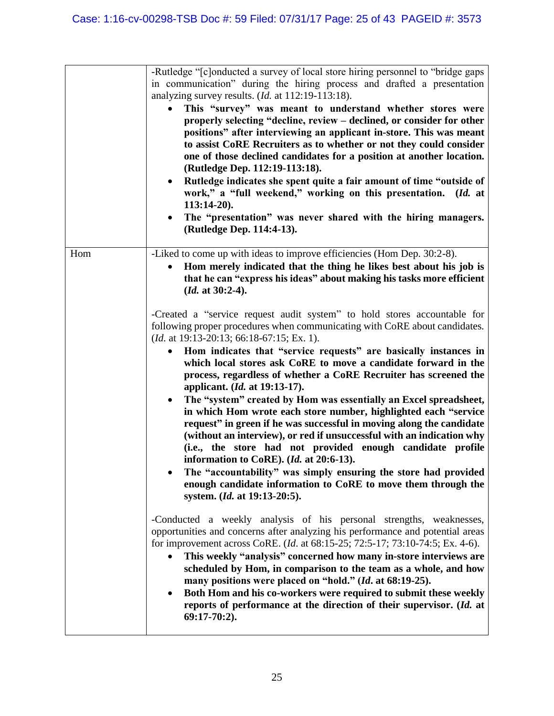|     | -Rutledge "[c]onducted a survey of local store hiring personnel to "bridge gaps<br>in communication" during the hiring process and drafted a presentation<br>analyzing survey results. $(Id.$ at $112:19-113:18$ .<br>This "survey" was meant to understand whether stores were<br>properly selecting "decline, review – declined, or consider for other<br>positions" after interviewing an applicant in-store. This was meant<br>to assist CoRE Recruiters as to whether or not they could consider<br>one of those declined candidates for a position at another location.<br>(Rutledge Dep. 112:19-113:18).<br>Rutledge indicates she spent quite a fair amount of time "outside of<br>$\bullet$<br>work," a "full weekend," working on this presentation. (Id. at<br>$113:14-20$ .<br>The "presentation" was never shared with the hiring managers.<br>$\bullet$<br>(Rutledge Dep. 114:4-13).                                                                                                                                                                     |
|-----|------------------------------------------------------------------------------------------------------------------------------------------------------------------------------------------------------------------------------------------------------------------------------------------------------------------------------------------------------------------------------------------------------------------------------------------------------------------------------------------------------------------------------------------------------------------------------------------------------------------------------------------------------------------------------------------------------------------------------------------------------------------------------------------------------------------------------------------------------------------------------------------------------------------------------------------------------------------------------------------------------------------------------------------------------------------------|
| Hom | -Liked to come up with ideas to improve efficiencies (Hom Dep. 30:2-8).<br>Hom merely indicated that the thing he likes best about his job is<br>that he can "express his ideas" about making his tasks more efficient<br>$(Id. at 30:2-4).$                                                                                                                                                                                                                                                                                                                                                                                                                                                                                                                                                                                                                                                                                                                                                                                                                           |
|     | -Created a "service request audit system" to hold stores accountable for<br>following proper procedures when communicating with CoRE about candidates.<br>( <i>Id.</i> at 19:13-20:13; 66:18-67:15; Ex. 1).<br>Hom indicates that "service requests" are basically instances in<br>$\bullet$<br>which local stores ask CoRE to move a candidate forward in the<br>process, regardless of whether a CoRE Recruiter has screened the<br>applicant. ( <i>Id.</i> at 19:13-17).<br>The "system" created by Hom was essentially an Excel spreadsheet,<br>$\bullet$<br>in which Hom wrote each store number, highlighted each "service<br>request" in green if he was successful in moving along the candidate<br>(without an interview), or red if unsuccessful with an indication why<br>(i.e., the store had not provided enough candidate profile<br>information to CoRE). (Id. at 20:6-13).<br>The "accountability" was simply ensuring the store had provided<br>enough candidate information to CoRE to move them through the<br>system. ( <i>Id.</i> at 19:13-20:5). |
|     | -Conducted a weekly analysis of his personal strengths, weaknesses,<br>opportunities and concerns after analyzing his performance and potential areas<br>for improvement across CoRE. ( <i>Id.</i> at 68:15-25; 72:5-17; 73:10-74:5; Ex. 4-6).<br>This weekly "analysis" concerned how many in-store interviews are<br>$\bullet$<br>scheduled by Hom, in comparison to the team as a whole, and how<br>many positions were placed on "hold." (Id. at 68:19-25).<br>Both Hom and his co-workers were required to submit these weekly<br>$\bullet$<br>reports of performance at the direction of their supervisor. (Id. at<br>$69:17-70:2$ ).                                                                                                                                                                                                                                                                                                                                                                                                                            |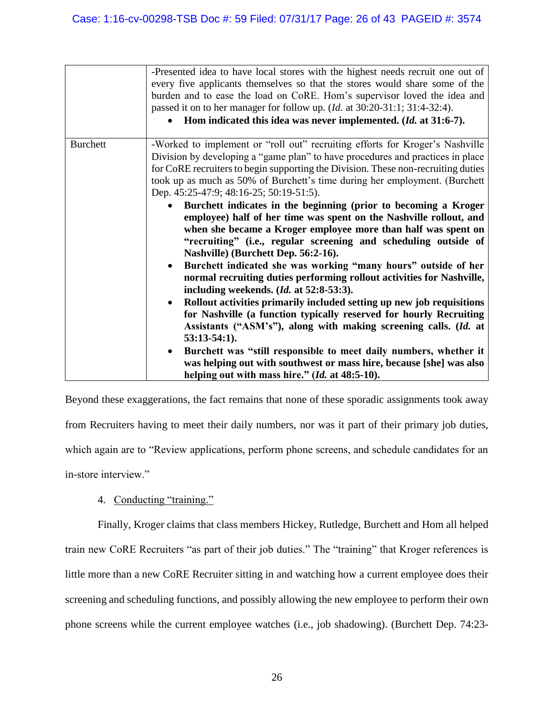|                 | -Presented idea to have local stores with the highest needs recruit one out of<br>every five applicants themselves so that the stores would share some of the<br>burden and to ease the load on CoRE. Hom's supervisor loved the idea and<br>passed it on to her manager for follow up. ( <i>Id.</i> at 30:20-31:1; 31:4-32:4).                                                                                                                                                                                                                                                                             |
|-----------------|-------------------------------------------------------------------------------------------------------------------------------------------------------------------------------------------------------------------------------------------------------------------------------------------------------------------------------------------------------------------------------------------------------------------------------------------------------------------------------------------------------------------------------------------------------------------------------------------------------------|
|                 | Hom indicated this idea was never implemented. (Id. at 31:6-7).                                                                                                                                                                                                                                                                                                                                                                                                                                                                                                                                             |
| <b>Burchett</b> | -Worked to implement or "roll out" recruiting efforts for Kroger's Nashville<br>Division by developing a "game plan" to have procedures and practices in place<br>for CoRE recruiters to begin supporting the Division. These non-recruiting duties<br>took up as much as 50% of Burchett's time during her employment. (Burchett<br>Dep. 45:25-47:9; 48:16-25; 50:19-51:5).                                                                                                                                                                                                                                |
|                 | Burchett indicates in the beginning (prior to becoming a Kroger<br>employee) half of her time was spent on the Nashville rollout, and<br>when she became a Kroger employee more than half was spent on<br>"recruiting" (i.e., regular screening and scheduling outside of<br>Nashville) (Burchett Dep. 56:2-16).<br>Burchett indicated she was working "many hours" outside of her<br>$\bullet$<br>normal recruiting duties performing rollout activities for Nashville,<br>including weekends. $(Id. at 52:8-53:3).$<br>Rollout activities primarily included setting up new job requisitions<br>$\bullet$ |
|                 | for Nashville (a function typically reserved for hourly Recruiting<br>Assistants ("ASM's"), along with making screening calls. (Id. at<br>$53:13-54:1$ .<br>Burchett was "still responsible to meet daily numbers, whether it<br>$\bullet$<br>was helping out with southwest or mass hire, because [she] was also<br>helping out with mass hire." (Id. at 48:5-10).                                                                                                                                                                                                                                         |

Beyond these exaggerations, the fact remains that none of these sporadic assignments took away from Recruiters having to meet their daily numbers, nor was it part of their primary job duties, which again are to "Review applications, perform phone screens, and schedule candidates for an in-store interview."

# 4. Conducting "training."

Finally, Kroger claims that class members Hickey, Rutledge, Burchett and Hom all helped train new CoRE Recruiters "as part of their job duties." The "training" that Kroger references is little more than a new CoRE Recruiter sitting in and watching how a current employee does their screening and scheduling functions, and possibly allowing the new employee to perform their own phone screens while the current employee watches (i.e., job shadowing). (Burchett Dep. 74:23-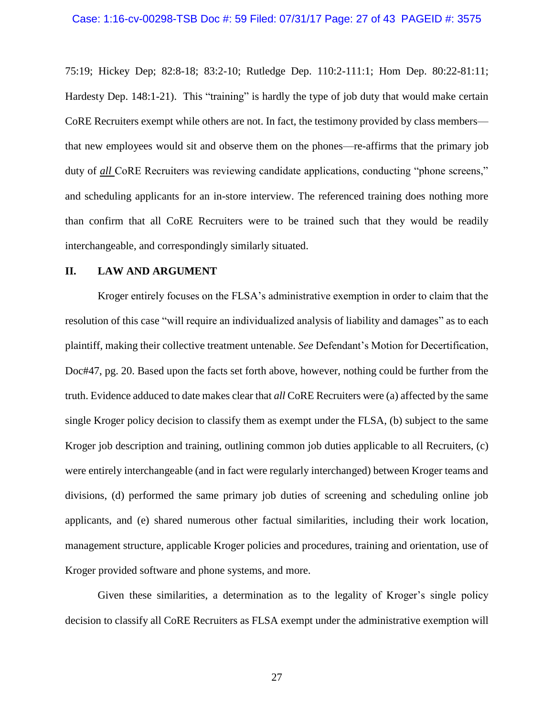#### Case: 1:16-cv-00298-TSB Doc #: 59 Filed: 07/31/17 Page: 27 of 43 PAGEID #: 3575

75:19; Hickey Dep; 82:8-18; 83:2-10; Rutledge Dep. 110:2-111:1; Hom Dep. 80:22-81:11; Hardesty Dep. 148:1-21). This "training" is hardly the type of job duty that would make certain CoRE Recruiters exempt while others are not. In fact, the testimony provided by class members that new employees would sit and observe them on the phones—re-affirms that the primary job duty of *all* CoRE Recruiters was reviewing candidate applications, conducting "phone screens," and scheduling applicants for an in-store interview. The referenced training does nothing more than confirm that all CoRE Recruiters were to be trained such that they would be readily interchangeable, and correspondingly similarly situated.

### **II. LAW AND ARGUMENT**

Kroger entirely focuses on the FLSA's administrative exemption in order to claim that the resolution of this case "will require an individualized analysis of liability and damages" as to each plaintiff, making their collective treatment untenable. *See* Defendant's Motion for Decertification, Doc#47, pg. 20. Based upon the facts set forth above, however, nothing could be further from the truth. Evidence adduced to date makes clear that *all* CoRE Recruiters were (a) affected by the same single Kroger policy decision to classify them as exempt under the FLSA, (b) subject to the same Kroger job description and training, outlining common job duties applicable to all Recruiters, (c) were entirely interchangeable (and in fact were regularly interchanged) between Kroger teams and divisions, (d) performed the same primary job duties of screening and scheduling online job applicants, and (e) shared numerous other factual similarities, including their work location, management structure, applicable Kroger policies and procedures, training and orientation, use of Kroger provided software and phone systems, and more.

Given these similarities, a determination as to the legality of Kroger's single policy decision to classify all CoRE Recruiters as FLSA exempt under the administrative exemption will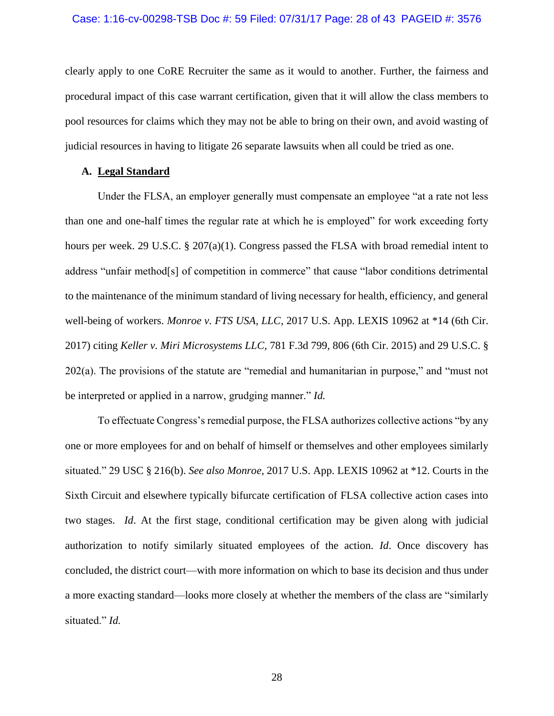#### Case: 1:16-cv-00298-TSB Doc #: 59 Filed: 07/31/17 Page: 28 of 43 PAGEID #: 3576

clearly apply to one CoRE Recruiter the same as it would to another. Further, the fairness and procedural impact of this case warrant certification, given that it will allow the class members to pool resources for claims which they may not be able to bring on their own, and avoid wasting of judicial resources in having to litigate 26 separate lawsuits when all could be tried as one.

### **A. Legal Standard**

Under the FLSA, an employer generally must compensate an employee "at a rate not less than one and one-half times the regular rate at which he is employed" for work exceeding forty hours per week. 29 U.S.C. § 207(a)(1). Congress passed the FLSA with broad remedial intent to address "unfair method[s] of competition in commerce" that cause "labor conditions detrimental to the maintenance of the minimum standard of living necessary for health, efficiency, and general well-being of workers. *Monroe v. FTS USA, LLC*, 2017 U.S. App. LEXIS 10962 at \*14 (6th Cir. 2017) citing *Keller v. Miri Microsystems LLC,* 781 F.3d 799, 806 (6th Cir. 2015) and 29 U.S.C. § 202(a). The provisions of the statute are "remedial and humanitarian in purpose," and "must not be interpreted or applied in a narrow, grudging manner." *Id.*

To effectuate Congress's remedial purpose, the FLSA authorizes collective actions "by any one or more employees for and on behalf of himself or themselves and other employees similarly situated." 29 USC § 216(b). *See also Monroe*, 2017 U.S. App. LEXIS 10962 at \*12. Courts in the Sixth Circuit and elsewhere typically bifurcate certification of FLSA collective action cases into two stages. *Id*. At the first stage, conditional certification may be given along with judicial authorization to notify similarly situated employees of the action. *Id*. Once discovery has concluded, the district court—with more information on which to base its decision and thus under a more exacting standard—looks more closely at whether the members of the class are "similarly situated." *Id.*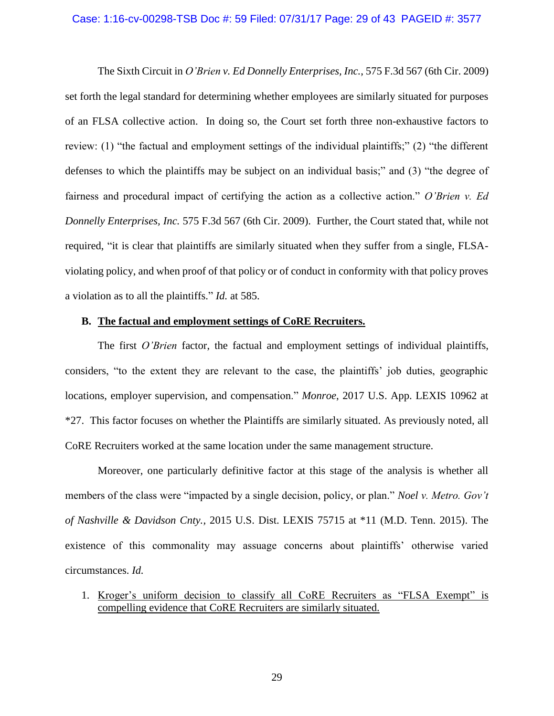#### Case: 1:16-cv-00298-TSB Doc #: 59 Filed: 07/31/17 Page: 29 of 43 PAGEID #: 3577

The Sixth Circuit in *O'Brien v. Ed Donnelly Enterprises, Inc.*, 575 F.3d 567 (6th Cir. 2009) set forth the legal standard for determining whether employees are similarly situated for purposes of an FLSA collective action. In doing so, the Court set forth three non-exhaustive factors to review: (1) "the factual and employment settings of the individual plaintiffs;" (2) "the different defenses to which the plaintiffs may be subject on an individual basis;" and (3) "the degree of fairness and procedural impact of certifying the action as a collective action." *O'Brien v. Ed Donnelly Enterprises, Inc.* 575 F.3d 567 (6th Cir. 2009). Further, the Court stated that, while not required, "it is clear that plaintiffs are similarly situated when they suffer from a single, FLSAviolating policy, and when proof of that policy or of conduct in conformity with that policy proves a violation as to all the plaintiffs." *Id.* at 585.

### **B. The factual and employment settings of CoRE Recruiters.**

The first *O'Brien* factor, the factual and employment settings of individual plaintiffs, considers, "to the extent they are relevant to the case, the plaintiffs' job duties, geographic locations, employer supervision, and compensation." *Monroe*, 2017 U.S. App. LEXIS 10962 at \*27. This factor focuses on whether the Plaintiffs are similarly situated. As previously noted, all CoRE Recruiters worked at the same location under the same management structure.

Moreover, one particularly definitive factor at this stage of the analysis is whether all members of the class were "impacted by a single decision, policy, or plan." *Noel v. Metro. Gov't of Nashville & Davidson Cnty.,* 2015 U.S. Dist. LEXIS 75715 at \*11 (M.D. Tenn. 2015). The existence of this commonality may assuage concerns about plaintiffs' otherwise varied circumstances. *Id.*

1. Kroger's uniform decision to classify all CoRE Recruiters as "FLSA Exempt" is compelling evidence that CoRE Recruiters are similarly situated.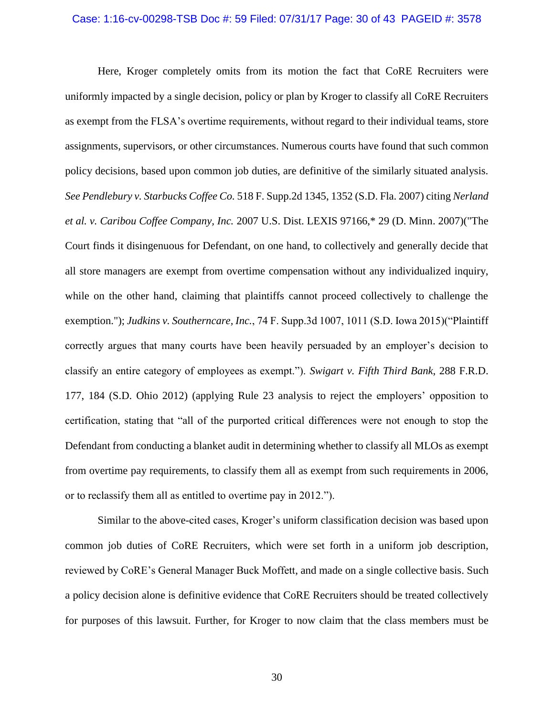#### Case: 1:16-cv-00298-TSB Doc #: 59 Filed: 07/31/17 Page: 30 of 43 PAGEID #: 3578

Here, Kroger completely omits from its motion the fact that CoRE Recruiters were uniformly impacted by a single decision, policy or plan by Kroger to classify all CoRE Recruiters as exempt from the FLSA's overtime requirements, without regard to their individual teams, store assignments, supervisors, or other circumstances. Numerous courts have found that such common policy decisions, based upon common job duties, are definitive of the similarly situated analysis. *See Pendlebury v. Starbucks Coffee Co.* 518 F. Supp.2d 1345, 1352 (S.D. Fla. 2007) citing *Nerland et al. v. Caribou Coffee Company, Inc.* 2007 U.S. Dist. LEXIS 97166,\* 29 (D. Minn. 2007)("The Court finds it disingenuous for Defendant, on one hand, to collectively and generally decide that all store managers are exempt from overtime compensation without any individualized inquiry, while on the other hand, claiming that plaintiffs cannot proceed collectively to challenge the exemption."); *Judkins v. Southerncare, Inc.*, 74 F. Supp.3d 1007, 1011 (S.D. Iowa 2015)("Plaintiff correctly argues that many courts have been heavily persuaded by an employer's decision to classify an entire category of employees as exempt."). *Swigart v. Fifth Third Bank*, 288 F.R.D. 177, 184 (S.D. Ohio 2012) (applying Rule 23 analysis to reject the employers' opposition to certification, stating that "all of the purported critical differences were not enough to stop the Defendant from conducting a blanket audit in determining whether to classify all MLOs as exempt from overtime pay requirements, to classify them all as exempt from such requirements in 2006, or to reclassify them all as entitled to overtime pay in 2012.").

Similar to the above-cited cases, Kroger's uniform classification decision was based upon common job duties of CoRE Recruiters, which were set forth in a uniform job description, reviewed by CoRE's General Manager Buck Moffett, and made on a single collective basis. Such a policy decision alone is definitive evidence that CoRE Recruiters should be treated collectively for purposes of this lawsuit. Further, for Kroger to now claim that the class members must be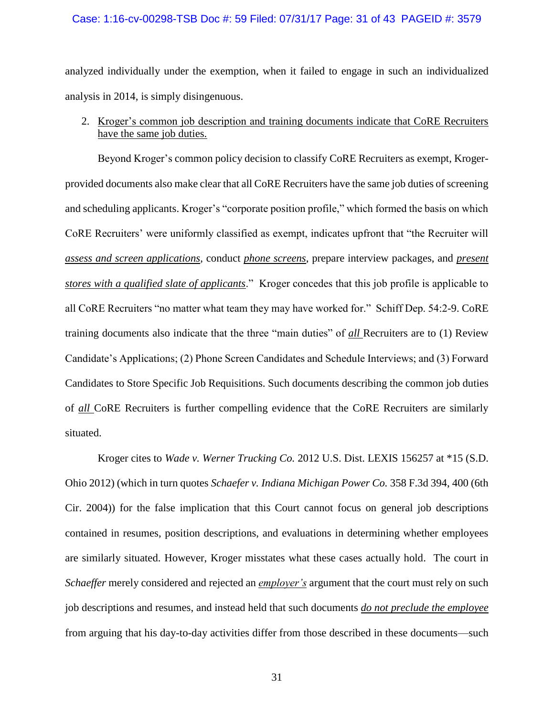#### Case: 1:16-cv-00298-TSB Doc #: 59 Filed: 07/31/17 Page: 31 of 43 PAGEID #: 3579

analyzed individually under the exemption, when it failed to engage in such an individualized analysis in 2014, is simply disingenuous.

# 2. Kroger's common job description and training documents indicate that CoRE Recruiters have the same job duties.

Beyond Kroger's common policy decision to classify CoRE Recruiters as exempt, Krogerprovided documents also make clear that all CoRE Recruiters have the same job duties of screening and scheduling applicants. Kroger's "corporate position profile," which formed the basis on which CoRE Recruiters' were uniformly classified as exempt, indicates upfront that "the Recruiter will *assess and screen applications*, conduct *phone screens*, prepare interview packages, and *present stores with a qualified slate of applicants*." Kroger concedes that this job profile is applicable to all CoRE Recruiters "no matter what team they may have worked for." Schiff Dep. 54:2-9. CoRE training documents also indicate that the three "main duties" of *all* Recruiters are to (1) Review Candidate's Applications; (2) Phone Screen Candidates and Schedule Interviews; and (3) Forward Candidates to Store Specific Job Requisitions. Such documents describing the common job duties of *all* CoRE Recruiters is further compelling evidence that the CoRE Recruiters are similarly situated.

Kroger cites to *Wade v. Werner Trucking Co.* 2012 U.S. Dist. LEXIS 156257 at \*15 (S.D. Ohio 2012) (which in turn quotes *Schaefer v. Indiana Michigan Power Co.* 358 F.3d 394, 400 (6th Cir. 2004)) for the false implication that this Court cannot focus on general job descriptions contained in resumes, position descriptions, and evaluations in determining whether employees are similarly situated. However, Kroger misstates what these cases actually hold. The court in *Schaeffer* merely considered and rejected an *employer's* argument that the court must rely on such job descriptions and resumes, and instead held that such documents *do not preclude the employee* from arguing that his day-to-day activities differ from those described in these documents—such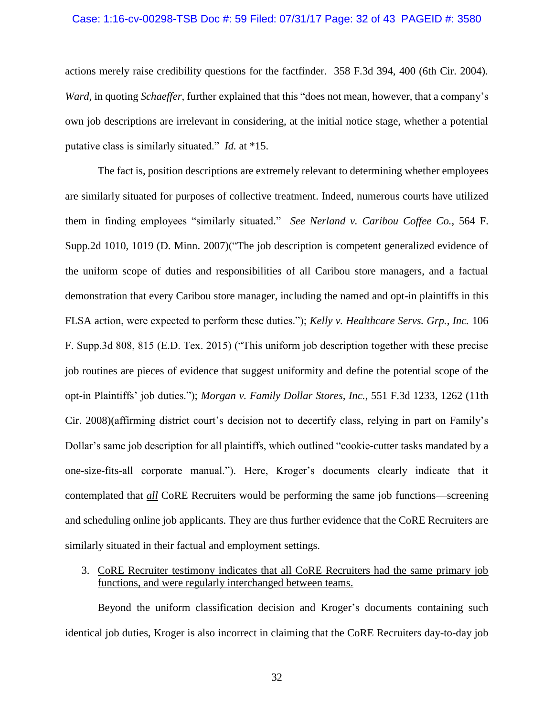#### Case: 1:16-cv-00298-TSB Doc #: 59 Filed: 07/31/17 Page: 32 of 43 PAGEID #: 3580

actions merely raise credibility questions for the factfinder. 358 F.3d 394, 400 (6th Cir. 2004). *Ward*, in quoting *Schaeffer*, further explained that this "does not mean, however, that a company's own job descriptions are irrelevant in considering, at the initial notice stage, whether a potential putative class is similarly situated." *Id.* at \*15.

The fact is, position descriptions are extremely relevant to determining whether employees are similarly situated for purposes of collective treatment. Indeed, numerous courts have utilized them in finding employees "similarly situated." *See Nerland v. Caribou Coffee Co.*, 564 F. Supp.2d 1010, 1019 (D. Minn. 2007)("The job description is competent generalized evidence of the uniform scope of duties and responsibilities of all Caribou store managers, and a factual demonstration that every Caribou store manager, including the named and opt-in plaintiffs in this FLSA action, were expected to perform these duties."); *Kelly v. Healthcare Servs. Grp., Inc.* 106 F. Supp.3d 808, 815 (E.D. Tex. 2015) ("This uniform job description together with these precise job routines are pieces of evidence that suggest uniformity and define the potential scope of the opt-in Plaintiffs' job duties."); *Morgan v. Family Dollar Stores, Inc.*, 551 F.3d 1233, 1262 (11th Cir. 2008)(affirming district court's decision not to decertify class, relying in part on Family's Dollar's same job description for all plaintiffs, which outlined "cookie-cutter tasks mandated by a one-size-fits-all corporate manual."). Here, Kroger's documents clearly indicate that it contemplated that *all* CoRE Recruiters would be performing the same job functions—screening and scheduling online job applicants. They are thus further evidence that the CoRE Recruiters are similarly situated in their factual and employment settings.

## 3. CoRE Recruiter testimony indicates that all CoRE Recruiters had the same primary job functions, and were regularly interchanged between teams.

Beyond the uniform classification decision and Kroger's documents containing such identical job duties, Kroger is also incorrect in claiming that the CoRE Recruiters day-to-day job

32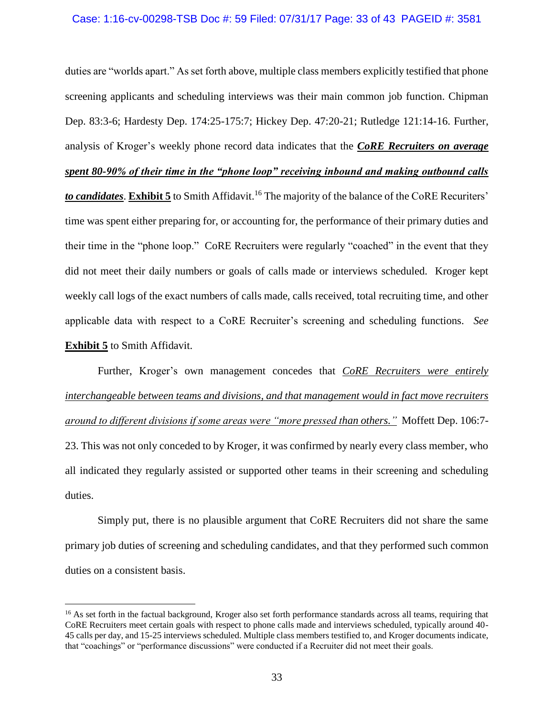#### Case: 1:16-cv-00298-TSB Doc #: 59 Filed: 07/31/17 Page: 33 of 43 PAGEID #: 3581

duties are "worlds apart." As set forth above, multiple class members explicitly testified that phone screening applicants and scheduling interviews was their main common job function. Chipman Dep. 83:3-6; Hardesty Dep. 174:25-175:7; Hickey Dep. 47:20-21; Rutledge 121:14-16. Further, analysis of Kroger's weekly phone record data indicates that the *CoRE Recruiters on average* 

*spent 80-90% of their time in the "phone loop" receiving inbound and making outbound calls*

*to candidates*. **Exhibit 5** to Smith Affidavit. <sup>16</sup> The majority of the balance of the CoRE Recuriters' time was spent either preparing for, or accounting for, the performance of their primary duties and their time in the "phone loop." CoRE Recruiters were regularly "coached" in the event that they did not meet their daily numbers or goals of calls made or interviews scheduled. Kroger kept weekly call logs of the exact numbers of calls made, calls received, total recruiting time, and other applicable data with respect to a CoRE Recruiter's screening and scheduling functions. *See*  **Exhibit 5** to Smith Affidavit.

Further, Kroger's own management concedes that *CoRE Recruiters were entirely interchangeable between teams and divisions, and that management would in fact move recruiters around to different divisions if some areas were "more pressed than others."* Moffett Dep. 106:7- 23. This was not only conceded to by Kroger, it was confirmed by nearly every class member, who all indicated they regularly assisted or supported other teams in their screening and scheduling duties.

Simply put, there is no plausible argument that CoRE Recruiters did not share the same primary job duties of screening and scheduling candidates, and that they performed such common duties on a consistent basis.

<sup>&</sup>lt;sup>16</sup> As set forth in the factual background, Kroger also set forth performance standards across all teams, requiring that CoRE Recruiters meet certain goals with respect to phone calls made and interviews scheduled, typically around 40- 45 calls per day, and 15-25 interviews scheduled. Multiple class members testified to, and Kroger documents indicate, that "coachings" or "performance discussions" were conducted if a Recruiter did not meet their goals.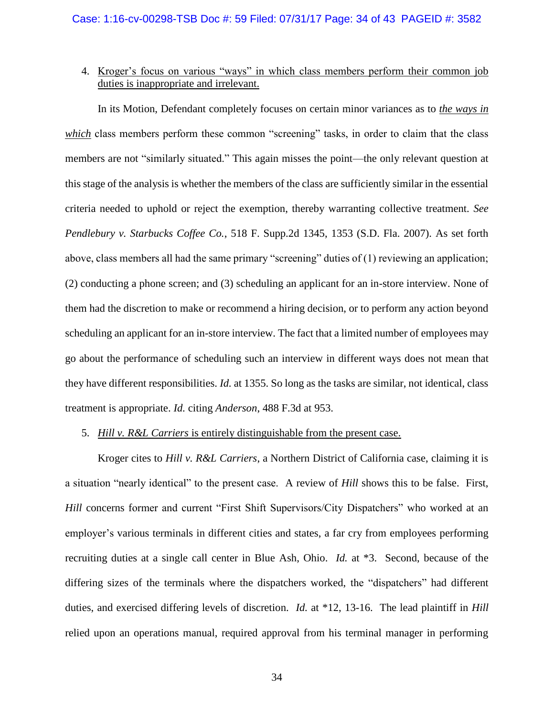4. Kroger's focus on various "ways" in which class members perform their common job duties is inappropriate and irrelevant.

In its Motion, Defendant completely focuses on certain minor variances as to *the ways in which* class members perform these common "screening" tasks, in order to claim that the class members are not "similarly situated." This again misses the point—the only relevant question at this stage of the analysis is whether the members of the class are sufficiently similar in the essential criteria needed to uphold or reject the exemption, thereby warranting collective treatment. *See Pendlebury v. Starbucks Coffee Co.*, 518 F. Supp.2d 1345, 1353 (S.D. Fla. 2007). As set forth above, class members all had the same primary "screening" duties of (1) reviewing an application; (2) conducting a phone screen; and (3) scheduling an applicant for an in-store interview. None of them had the discretion to make or recommend a hiring decision, or to perform any action beyond scheduling an applicant for an in-store interview. The fact that a limited number of employees may go about the performance of scheduling such an interview in different ways does not mean that they have different responsibilities. *Id.* at 1355. So long as the tasks are similar, not identical, class treatment is appropriate. *Id.* citing *Anderson*, 488 F.3d at 953.

### 5. *Hill v. R&L Carriers* is entirely distinguishable from the present case.

Kroger cites to *Hill v. R&L Carriers*, a Northern District of California case, claiming it is a situation "nearly identical" to the present case. A review of *Hill* shows this to be false. First, *Hill* concerns former and current "First Shift Supervisors/City Dispatchers" who worked at an employer's various terminals in different cities and states, a far cry from employees performing recruiting duties at a single call center in Blue Ash, Ohio. *Id.* at \*3. Second, because of the differing sizes of the terminals where the dispatchers worked, the "dispatchers" had different duties, and exercised differing levels of discretion. *Id.* at \*12, 13-16. The lead plaintiff in *Hill*  relied upon an operations manual, required approval from his terminal manager in performing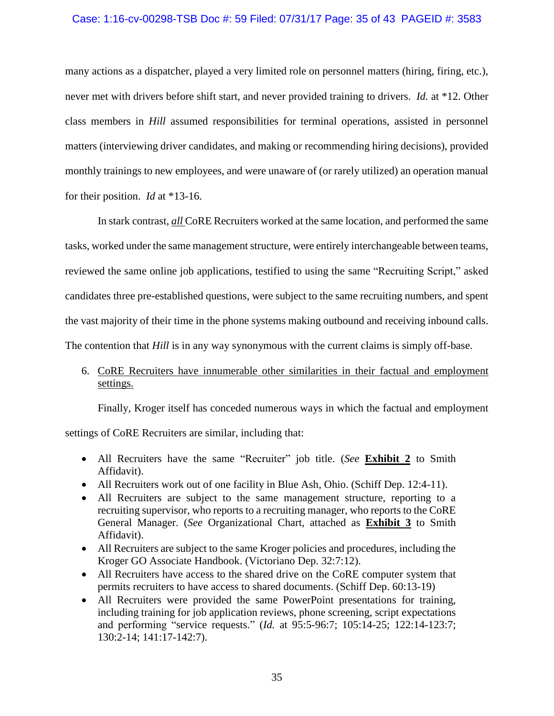### Case: 1:16-cv-00298-TSB Doc #: 59 Filed: 07/31/17 Page: 35 of 43 PAGEID #: 3583

many actions as a dispatcher, played a very limited role on personnel matters (hiring, firing, etc.), never met with drivers before shift start, and never provided training to drivers. *Id.* at \*12. Other class members in *Hill* assumed responsibilities for terminal operations, assisted in personnel matters (interviewing driver candidates, and making or recommending hiring decisions), provided monthly trainings to new employees, and were unaware of (or rarely utilized) an operation manual for their position. *Id* at \*13-16.

In stark contrast, *all* CoRE Recruiters worked at the same location, and performed the same tasks, worked under the same management structure, were entirely interchangeable between teams, reviewed the same online job applications, testified to using the same "Recruiting Script," asked candidates three pre-established questions, were subject to the same recruiting numbers, and spent the vast majority of their time in the phone systems making outbound and receiving inbound calls. The contention that *Hill* is in any way synonymous with the current claims is simply off-base.

# 6. CoRE Recruiters have innumerable other similarities in their factual and employment settings.

Finally, Kroger itself has conceded numerous ways in which the factual and employment

settings of CoRE Recruiters are similar, including that:

- All Recruiters have the same "Recruiter" job title. (*See* **Exhibit 2** to Smith Affidavit).
- All Recruiters work out of one facility in Blue Ash, Ohio. (Schiff Dep. 12:4-11).
- All Recruiters are subject to the same management structure, reporting to a recruiting supervisor, who reports to a recruiting manager, who reports to the CoRE General Manager. (*See* Organizational Chart, attached as **Exhibit 3** to Smith Affidavit).
- All Recruiters are subject to the same Kroger policies and procedures, including the Kroger GO Associate Handbook. (Victoriano Dep. 32:7:12).
- All Recruiters have access to the shared drive on the CoRE computer system that permits recruiters to have access to shared documents. (Schiff Dep. 60:13-19)
- All Recruiters were provided the same PowerPoint presentations for training, including training for job application reviews, phone screening, script expectations and performing "service requests." (*Id.* at 95:5-96:7; 105:14-25; 122:14-123:7; 130:2-14; 141:17-142:7).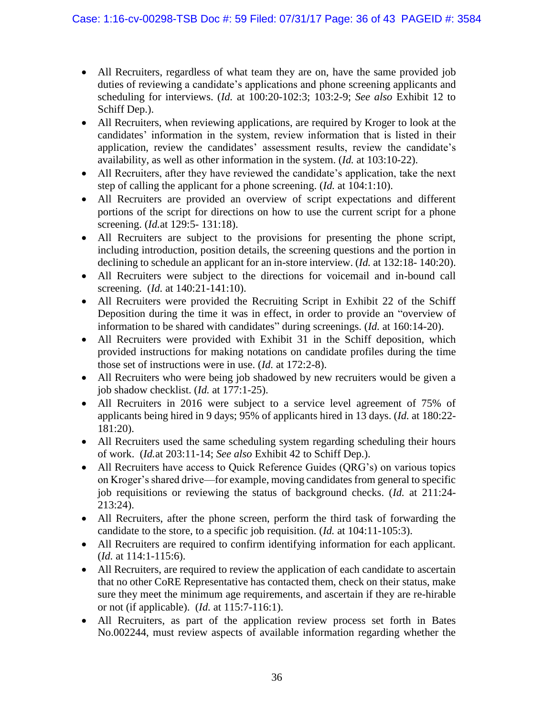- All Recruiters, regardless of what team they are on, have the same provided job duties of reviewing a candidate's applications and phone screening applicants and scheduling for interviews. (*Id.* at 100:20-102:3; 103:2-9; *See also* Exhibit 12 to Schiff Dep.).
- All Recruiters, when reviewing applications, are required by Kroger to look at the candidates' information in the system, review information that is listed in their application, review the candidates' assessment results, review the candidate's availability, as well as other information in the system. (*Id.* at 103:10-22).
- All Recruiters, after they have reviewed the candidate's application, take the next step of calling the applicant for a phone screening. (*Id.* at 104:1:10).
- All Recruiters are provided an overview of script expectations and different portions of the script for directions on how to use the current script for a phone screening. (*Id.*at 129:5- 131:18).
- All Recruiters are subject to the provisions for presenting the phone script, including introduction, position details, the screening questions and the portion in declining to schedule an applicant for an in-store interview. (*Id.* at 132:18- 140:20).
- All Recruiters were subject to the directions for voicemail and in-bound call screening. (*Id.* at 140:21-141:10).
- All Recruiters were provided the Recruiting Script in Exhibit 22 of the Schiff Deposition during the time it was in effect, in order to provide an "overview of information to be shared with candidates" during screenings. (*Id.* at 160:14-20).
- All Recruiters were provided with Exhibit 31 in the Schiff deposition, which provided instructions for making notations on candidate profiles during the time those set of instructions were in use. (*Id.* at 172:2-8).
- All Recruiters who were being job shadowed by new recruiters would be given a job shadow checklist. (*Id.* at 177:1-25).
- All Recruiters in 2016 were subject to a service level agreement of 75% of applicants being hired in 9 days; 95% of applicants hired in 13 days. (*Id.* at 180:22- 181:20).
- All Recruiters used the same scheduling system regarding scheduling their hours of work. (*Id.*at 203:11-14; *See also* Exhibit 42 to Schiff Dep.).
- All Recruiters have access to Quick Reference Guides (QRG's) on various topics on Kroger's shared drive—for example, moving candidates from general to specific job requisitions or reviewing the status of background checks. (*Id.* at 211:24- 213:24).
- All Recruiters, after the phone screen, perform the third task of forwarding the candidate to the store, to a specific job requisition. (*Id.* at 104:11-105:3).
- All Recruiters are required to confirm identifying information for each applicant. (*Id.* at 114:1-115:6).
- All Recruiters, are required to review the application of each candidate to ascertain that no other CoRE Representative has contacted them, check on their status, make sure they meet the minimum age requirements, and ascertain if they are re-hirable or not (if applicable). (*Id.* at 115:7-116:1).
- All Recruiters, as part of the application review process set forth in Bates No.002244, must review aspects of available information regarding whether the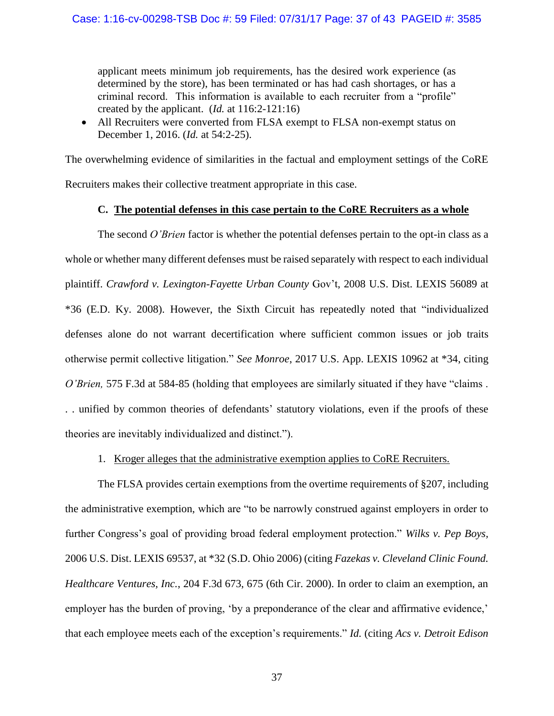applicant meets minimum job requirements, has the desired work experience (as determined by the store), has been terminated or has had cash shortages, or has a criminal record. This information is available to each recruiter from a "profile" created by the applicant. (*Id.* at 116:2-121:16)

• All Recruiters were converted from FLSA exempt to FLSA non-exempt status on December 1, 2016. (*Id.* at 54:2-25).

The overwhelming evidence of similarities in the factual and employment settings of the CoRE Recruiters makes their collective treatment appropriate in this case.

## **C. The potential defenses in this case pertain to the CoRE Recruiters as a whole**

The second *O'Brien* factor is whether the potential defenses pertain to the opt-in class as a whole or whether many different defenses must be raised separately with respect to each individual plaintiff. *Crawford v. Lexington-Fayette Urban County* Gov't, 2008 U.S. Dist. LEXIS 56089 at \*36 (E.D. Ky. 2008). However, the Sixth Circuit has repeatedly noted that "individualized defenses alone do not warrant decertification where sufficient common issues or job traits otherwise permit collective litigation." *See Monroe*, 2017 U.S. App. LEXIS 10962 at \*34, citing *O'Brien,* 575 F.3d at 584-85 (holding that employees are similarly situated if they have "claims . . . unified by common theories of defendants' statutory violations, even if the proofs of these theories are inevitably individualized and distinct.").

1. Kroger alleges that the administrative exemption applies to CoRE Recruiters.

The FLSA provides certain exemptions from the overtime requirements of §207, including the administrative exemption, which are "to be narrowly construed against employers in order to further Congress's goal of providing broad federal employment protection." *Wilks v. Pep Boys,* 2006 U.S. Dist. LEXIS 69537, at \*32 (S.D. Ohio 2006) (citing *Fazekas v. Cleveland Clinic Found. Healthcare Ventures, Inc.*, 204 F.3d 673, 675 (6th Cir. 2000). In order to claim an exemption, an employer has the burden of proving, 'by a preponderance of the clear and affirmative evidence,' that each employee meets each of the exception's requirements." *Id.* (citing *Acs v. Detroit Edison*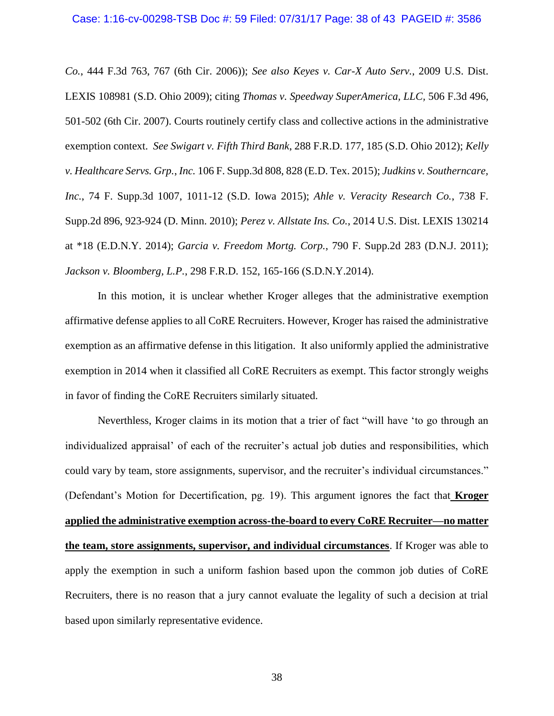#### Case: 1:16-cv-00298-TSB Doc #: 59 Filed: 07/31/17 Page: 38 of 43 PAGEID #: 3586

*Co.*, 444 F.3d 763, 767 (6th Cir. 2006)); *See also Keyes v. Car-X Auto Serv.*, 2009 U.S. Dist. LEXIS 108981 (S.D. Ohio 2009); citing *Thomas v. Speedway SuperAmerica, LLC,* 506 F.3d 496, 501-502 (6th Cir. 2007). Courts routinely certify class and collective actions in the administrative exemption context. *See Swigart v. Fifth Third Bank*, 288 F.R.D. 177, 185 (S.D. Ohio 2012); *Kelly v. Healthcare Servs. Grp.*, *Inc.* 106 F. Supp.3d 808, 828 (E.D. Tex. 2015); *Judkins v. Southerncare, Inc.*, 74 F. Supp.3d 1007, 1011-12 (S.D. Iowa 2015); *Ahle v. Veracity Research Co.*, 738 F. Supp.2d 896, 923-924 (D. Minn. 2010); *Perez v. Allstate Ins. Co.*, 2014 U.S. Dist. LEXIS 130214 at \*18 (E.D.N.Y. 2014); *Garcia v. Freedom Mortg. Corp.*, 790 F. Supp.2d 283 (D.N.J. 2011); *Jackson v. Bloomberg, L.P.*, 298 F.R.D. 152, 165-166 (S.D.N.Y.2014).

In this motion, it is unclear whether Kroger alleges that the administrative exemption affirmative defense applies to all CoRE Recruiters. However, Kroger has raised the administrative exemption as an affirmative defense in this litigation. It also uniformly applied the administrative exemption in 2014 when it classified all CoRE Recruiters as exempt. This factor strongly weighs in favor of finding the CoRE Recruiters similarly situated.

Neverthless, Kroger claims in its motion that a trier of fact "will have 'to go through an individualized appraisal' of each of the recruiter's actual job duties and responsibilities, which could vary by team, store assignments, supervisor, and the recruiter's individual circumstances." (Defendant's Motion for Decertification, pg. 19). This argument ignores the fact that **Kroger applied the administrative exemption across-the-board to every CoRE Recruiter—no matter the team, store assignments, supervisor, and individual circumstances**. If Kroger was able to apply the exemption in such a uniform fashion based upon the common job duties of CoRE Recruiters, there is no reason that a jury cannot evaluate the legality of such a decision at trial based upon similarly representative evidence.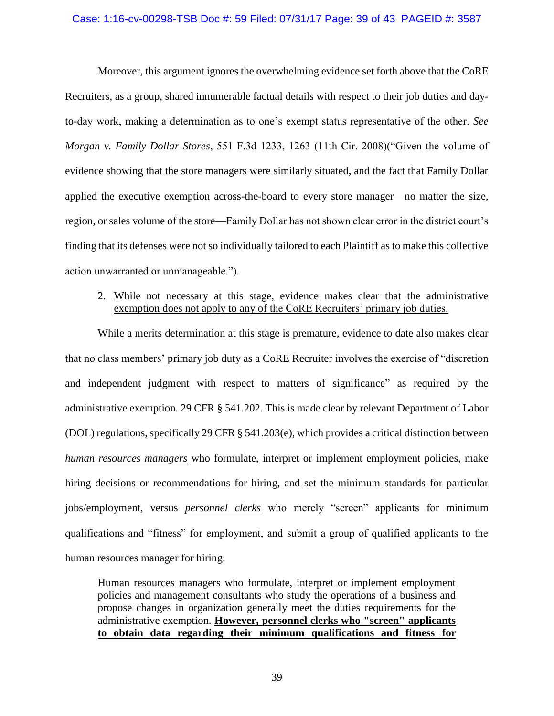#### Case: 1:16-cv-00298-TSB Doc #: 59 Filed: 07/31/17 Page: 39 of 43 PAGEID #: 3587

Moreover, this argument ignores the overwhelming evidence set forth above that the CoRE Recruiters, as a group, shared innumerable factual details with respect to their job duties and dayto-day work, making a determination as to one's exempt status representative of the other. *See Morgan v. Family Dollar Stores*, 551 F.3d 1233, 1263 (11th Cir. 2008)("Given the volume of evidence showing that the store managers were similarly situated, and the fact that Family Dollar applied the executive exemption across-the-board to every store manager—no matter the size, region, or sales volume of the store—Family Dollar has not shown clear error in the district court's finding that its defenses were not so individually tailored to each Plaintiff as to make this collective action unwarranted or unmanageable.").

# 2. While not necessary at this stage, evidence makes clear that the administrative exemption does not apply to any of the CoRE Recruiters' primary job duties.

While a merits determination at this stage is premature, evidence to date also makes clear that no class members' primary job duty as a CoRE Recruiter involves the exercise of "discretion and independent judgment with respect to matters of significance" as required by the administrative exemption. 29 CFR § 541.202. This is made clear by relevant Department of Labor (DOL) regulations, specifically 29 CFR § 541.203(e), which provides a critical distinction between *human resources managers* who formulate, interpret or implement employment policies, make hiring decisions or recommendations for hiring, and set the minimum standards for particular jobs/employment, versus *personnel clerks* who merely "screen" applicants for minimum qualifications and "fitness" for employment, and submit a group of qualified applicants to the human resources manager for hiring:

Human resources managers who formulate, interpret or implement employment policies and management consultants who study the operations of a business and propose changes in organization generally meet the duties requirements for the administrative exemption. **However, personnel clerks who "screen" applicants to obtain data regarding their minimum qualifications and fitness for**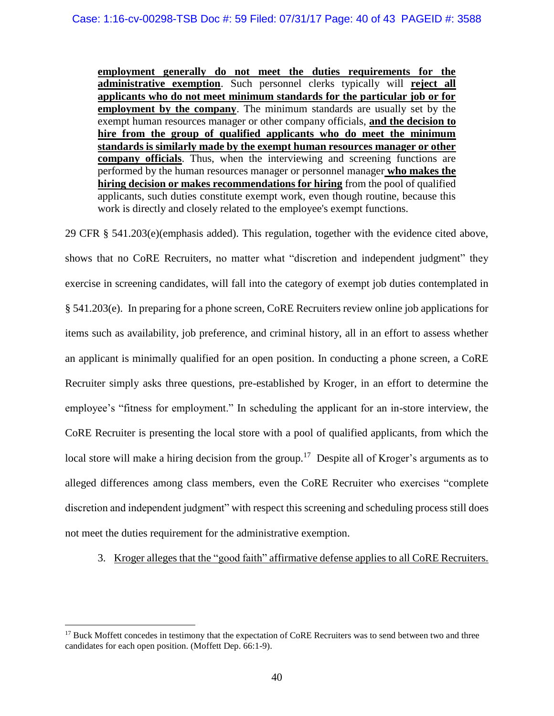**employment generally do not meet the duties requirements for the administrative exemption**. Such personnel clerks typically will **reject all applicants who do not meet minimum standards for the particular job or for employment by the company**. The minimum standards are usually set by the exempt human resources manager or other company officials, **and the decision to hire from the group of qualified applicants who do meet the minimum standards is similarly made by the exempt human resources manager or other company officials**. Thus, when the interviewing and screening functions are performed by the human resources manager or personnel manager **who makes the hiring decision or makes recommendations for hiring** from the pool of qualified applicants, such duties constitute exempt work, even though routine, because this work is directly and closely related to the employee's exempt functions.

29 CFR § 541.203(e)(emphasis added). This regulation, together with the evidence cited above, shows that no CoRE Recruiters, no matter what "discretion and independent judgment" they exercise in screening candidates, will fall into the category of exempt job duties contemplated in § 541.203(e). In preparing for a phone screen, CoRE Recruiters review online job applications for items such as availability, job preference, and criminal history, all in an effort to assess whether an applicant is minimally qualified for an open position. In conducting a phone screen, a CoRE Recruiter simply asks three questions, pre-established by Kroger, in an effort to determine the employee's "fitness for employment." In scheduling the applicant for an in-store interview, the CoRE Recruiter is presenting the local store with a pool of qualified applicants, from which the local store will make a hiring decision from the group.<sup>17</sup> Despite all of Kroger's arguments as to alleged differences among class members, even the CoRE Recruiter who exercises "complete discretion and independent judgment" with respect this screening and scheduling process still does not meet the duties requirement for the administrative exemption.

3. Kroger alleges that the "good faith" affirmative defense applies to all CoRE Recruiters.

<sup>&</sup>lt;sup>17</sup> Buck Moffett concedes in testimony that the expectation of CoRE Recruiters was to send between two and three candidates for each open position. (Moffett Dep. 66:1-9).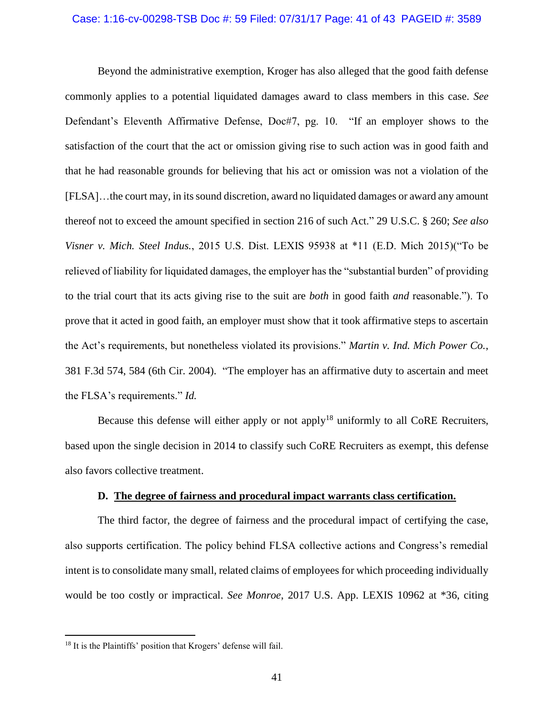#### Case: 1:16-cv-00298-TSB Doc #: 59 Filed: 07/31/17 Page: 41 of 43 PAGEID #: 3589

Beyond the administrative exemption, Kroger has also alleged that the good faith defense commonly applies to a potential liquidated damages award to class members in this case. *See*  Defendant's Eleventh Affirmative Defense, Doc#7, pg. 10. "If an employer shows to the satisfaction of the court that the act or omission giving rise to such action was in good faith and that he had reasonable grounds for believing that his act or omission was not a violation of the [FLSA]…the court may, in its sound discretion, award no liquidated damages or award any amount thereof not to exceed the amount specified in section 216 of such Act." 29 U.S.C. § 260; *See also Visner v. Mich. Steel Indus.*, 2015 U.S. Dist. LEXIS 95938 at \*11 (E.D. Mich 2015)("To be relieved of liability for liquidated damages, the employer has the "substantial burden" of providing to the trial court that its acts giving rise to the suit are *both* in good faith *and* reasonable."). To prove that it acted in good faith, an employer must show that it took affirmative steps to ascertain the Act's requirements, but nonetheless violated its provisions." *Martin v. Ind. Mich Power Co.*, 381 F.3d 574, 584 (6th Cir. 2004). "The employer has an affirmative duty to ascertain and meet the FLSA's requirements." *Id.*

Because this defense will either apply or not apply<sup>18</sup> uniformly to all CoRE Recruiters, based upon the single decision in 2014 to classify such CoRE Recruiters as exempt, this defense also favors collective treatment.

### **D. The degree of fairness and procedural impact warrants class certification.**

The third factor, the degree of fairness and the procedural impact of certifying the case, also supports certification. The policy behind FLSA collective actions and Congress's remedial intent is to consolidate many small, related claims of employees for which proceeding individually would be too costly or impractical. *See Monroe*, 2017 U.S. App. LEXIS 10962 at \*36, citing

<sup>&</sup>lt;sup>18</sup> It is the Plaintiffs' position that Krogers' defense will fail.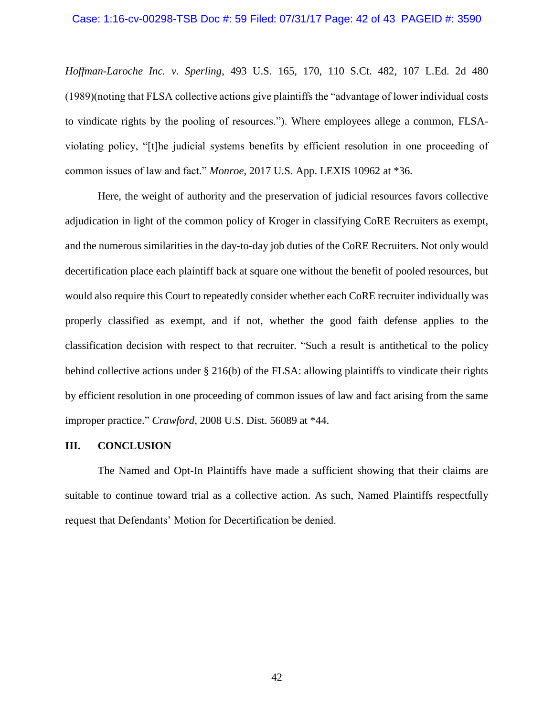#### Case: 1:16-cv-00298-TSB Doc #: 59 Filed: 07/31/17 Page: 42 of 43 PAGEID #: 3590

*Hoffman-Laroche Inc. v. Sperling*, 493 U.S. 165, 170, 110 S.Ct. 482, 107 L.Ed. 2d 480 (1989)(noting that FLSA collective actions give plaintiffs the "advantage of lower individual costs to vindicate rights by the pooling of resources."). Where employees allege a common, FLSAviolating policy, "[t]he judicial systems benefits by efficient resolution in one proceeding of common issues of law and fact." *Monroe*, 2017 U.S. App. LEXIS 10962 at \*36*.*

Here, the weight of authority and the preservation of judicial resources favors collective adjudication in light of the common policy of Kroger in classifying CoRE Recruiters as exempt, and the numerous similarities in the day-to-day job duties of the CoRE Recruiters. Not only would decertification place each plaintiff back at square one without the benefit of pooled resources, but would also require this Court to repeatedly consider whether each CoRE recruiter individually was properly classified as exempt, and if not, whether the good faith defense applies to the classification decision with respect to that recruiter. "Such a result is antithetical to the policy behind collective actions under § 216(b) of the FLSA: allowing plaintiffs to vindicate their rights by efficient resolution in one proceeding of common issues of law and fact arising from the same improper practice." *Crawford*, 2008 U.S. Dist. 56089 at \*44.

### **III. CONCLUSION**

The Named and Opt-In Plaintiffs have made a sufficient showing that their claims are suitable to continue toward trial as a collective action. As such, Named Plaintiffs respectfully request that Defendants' Motion for Decertification be denied.